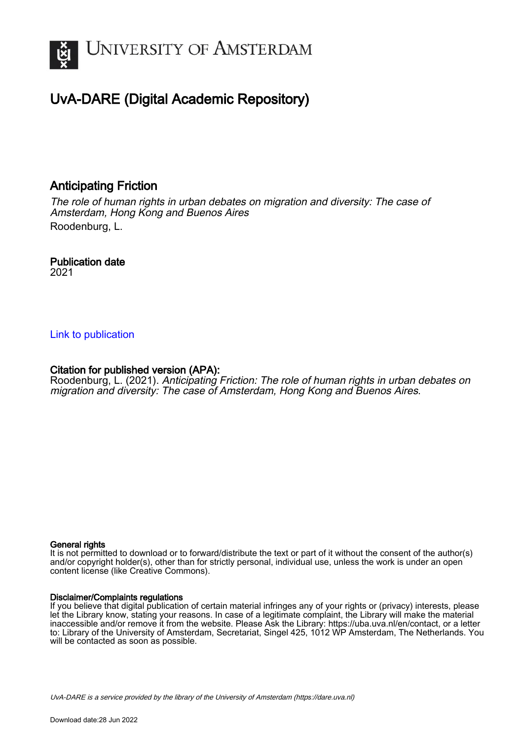

# UvA-DARE (Digital Academic Repository)

# Anticipating Friction

The role of human rights in urban debates on migration and diversity: The case of Amsterdam, Hong Kong and Buenos Aires Roodenburg, L.

# Publication date

2021

### [Link to publication](https://dare.uva.nl/personal/pure/en/publications/anticipating-friction(7624c7c1-4b4d-4a9c-b721-5505aa9062d3).html)

#### Citation for published version (APA):

Roodenburg, L. (2021). Anticipating Friction: The role of human rights in urban debates on migration and diversity: The case of Amsterdam, Hong Kong and Buenos Aires.

#### General rights

It is not permitted to download or to forward/distribute the text or part of it without the consent of the author(s) and/or copyright holder(s), other than for strictly personal, individual use, unless the work is under an open content license (like Creative Commons).

#### Disclaimer/Complaints regulations

If you believe that digital publication of certain material infringes any of your rights or (privacy) interests, please let the Library know, stating your reasons. In case of a legitimate complaint, the Library will make the material inaccessible and/or remove it from the website. Please Ask the Library: https://uba.uva.nl/en/contact, or a letter to: Library of the University of Amsterdam, Secretariat, Singel 425, 1012 WP Amsterdam, The Netherlands. You will be contacted as soon as possible.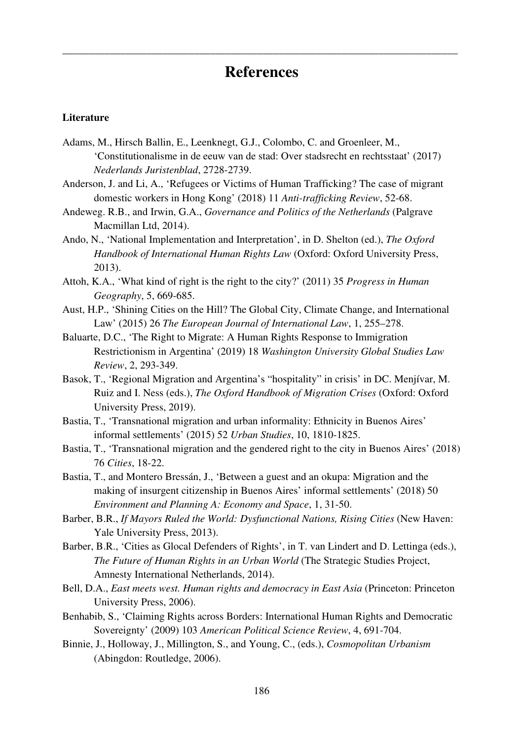# **References**

\_\_\_\_\_\_\_\_\_\_\_\_\_\_\_\_\_\_\_\_\_\_\_\_\_\_\_\_\_\_\_\_\_\_\_\_\_\_\_\_\_\_\_\_\_\_\_\_\_\_\_\_\_\_\_\_\_\_\_\_\_\_\_\_\_\_\_\_\_\_\_\_\_\_\_

#### **Literature**

- Adams, M., Hirsch Ballin, E., Leenknegt, G.J., Colombo, C. and Groenleer, M., 'Constitutionalisme in de eeuw van de stad: Over stadsrecht en rechtsstaat' (2017) *Nederlands Juristenblad*, 2728-2739.
- Anderson, J. and Li, A., 'Refugees or Victims of Human Trafficking? The case of migrant domestic workers in Hong Kong' (2018) 11 *Anti-trafficking Review*, 52-68.
- Andeweg. R.B., and Irwin, G.A., *Governance and Politics of the Netherlands* (Palgrave Macmillan Ltd, 2014).
- Ando, N., 'National Implementation and Interpretation', in D. Shelton (ed.), *The Oxford Handbook of International Human Rights Law* (Oxford: Oxford University Press, 2013).
- Attoh, K.A., 'What kind of right is the right to the city?' (2011) 35 *Progress in Human Geography*, 5, 669-685.
- Aust, H.P., 'Shining Cities on the Hill? The Global City, Climate Change, and International Law' (2015) 26 *The European Journal of International Law*, 1, 255–278.
- Baluarte, D.C., 'The Right to Migrate: A Human Rights Response to Immigration Restrictionism in Argentina' (2019) 18 *Washington University Global Studies Law Review*, 2, 293-349.
- Basok, T., 'Regional Migration and Argentina's "hospitality" in crisis' in DC. Menjívar, M. Ruiz and I. Ness (eds.), *The Oxford Handbook of Migration Crises* (Oxford: Oxford University Press, 2019).
- Bastia, T., 'Transnational migration and urban informality: Ethnicity in Buenos Aires' informal settlements' (2015) 52 *Urban Studies*, 10, 1810-1825.
- Bastia, T., 'Transnational migration and the gendered right to the city in Buenos Aires' (2018) 76 *Cities*, 18-22.
- Bastia, T., and Montero Bressán, J., 'Between a guest and an okupa: Migration and the making of insurgent citizenship in Buenos Aires' informal settlements' (2018) 50 *Environment and Planning A: Economy and Space*, 1, 31-50.
- Barber, B.R., *If Mayors Ruled the World: Dysfunctional Nations, Rising Cities* (New Haven: Yale University Press, 2013).
- Barber, B.R., 'Cities as Glocal Defenders of Rights', in T. van Lindert and D. Lettinga (eds.), *The Future of Human Rights in an Urban World* (The Strategic Studies Project, Amnesty International Netherlands, 2014).
- Bell, D.A., *East meets west. Human rights and democracy in East Asia* (Princeton: Princeton University Press, 2006).
- Benhabib, S., 'Claiming Rights across Borders: International Human Rights and Democratic Sovereignty' (2009) 103 *American Political Science Review*, 4, 691-704.
- Binnie, J., Holloway, J., Millington, S., and Young, C., (eds.), *Cosmopolitan Urbanism* (Abingdon: Routledge, 2006).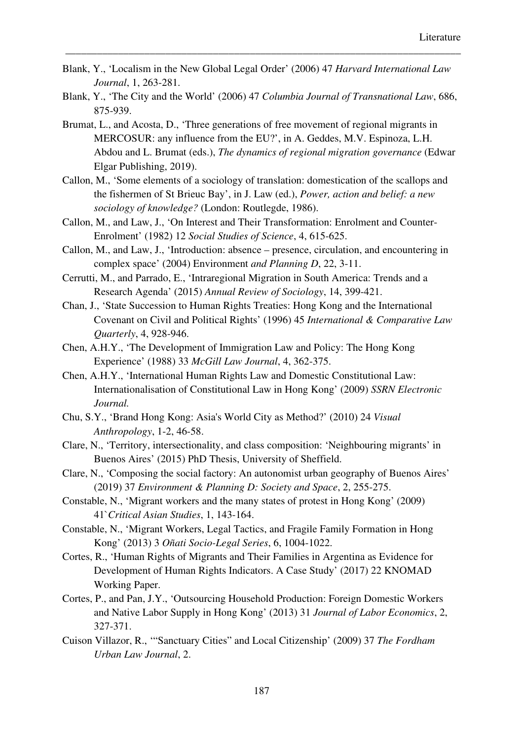Blank, Y., 'Localism in the New Global Legal Order' (2006) 47 *Harvard International Law Journal*, 1, 263-281.

- Blank, Y., 'The City and the World' (2006) 47 *Columbia Journal of Transnational Law*, 686, 875-939.
- Brumat, L., and Acosta, D., 'Three generations of free movement of regional migrants in MERCOSUR: any influence from the EU?', in A. Geddes, M.V. Espinoza, L.H. Abdou and L. Brumat (eds.), *The dynamics of regional migration governance* (Edwar Elgar Publishing, 2019).
- Callon, M., 'Some elements of a sociology of translation: domestication of the scallops and the fishermen of St Brieuc Bay', in J. Law (ed.), *Power, action and belief: a new sociology of knowledge?* (London: Routlegde, 1986).
- Callon, M., and Law, J., 'On Interest and Their Transformation: Enrolment and Counter-Enrolment' (1982) 12 *Social Studies of Science*, 4, 615-625.
- Callon, M., and Law, J., 'Introduction: absence presence, circulation, and encountering in complex space' (2004) Environment *and Planning D*, 22, 3-11.
- Cerrutti, M., and Parrado, E., 'Intraregional Migration in South America: Trends and a Research Agenda' (2015) *Annual Review of Sociology*, 14, 399-421.
- Chan, J., 'State Succession to Human Rights Treaties: Hong Kong and the International Covenant on Civil and Political Rights' (1996) 45 *International & Comparative Law Quarterly*, 4, 928-946.
- Chen, A.H.Y., 'The Development of Immigration Law and Policy: The Hong Kong Experience' (1988) 33 *McGill Law Journal*, 4, 362-375.
- Chen, A.H.Y., 'International Human Rights Law and Domestic Constitutional Law: Internationalisation of Constitutional Law in Hong Kong' (2009) *SSRN Electronic Journal.*
- Chu, S.Y., 'Brand Hong Kong: Asia's World City as Method?' (2010) 24 *Visual Anthropology*, 1-2, 46-58.
- Clare, N., 'Territory, intersectionality, and class composition: 'Neighbouring migrants' in Buenos Aires' (2015) PhD Thesis, University of Sheffield.
- Clare, N., 'Composing the social factory: An autonomist urban geography of Buenos Aires' (2019) 37 *Environment & Planning D: Society and Space*, 2, 255-275.
- Constable, N., 'Migrant workers and the many states of protest in Hong Kong' (2009) 41`*Critical Asian Studies*, 1, 143-164.
- Constable, N., 'Migrant Workers, Legal Tactics, and Fragile Family Formation in Hong Kong' (2013) 3 *Oñati Socio-Legal Series*, 6, 1004-1022.
- Cortes, R., 'Human Rights of Migrants and Their Families in Argentina as Evidence for Development of Human Rights Indicators. A Case Study' (2017) 22 KNOMAD Working Paper.
- Cortes, P., and Pan, J.Y., 'Outsourcing Household Production: Foreign Domestic Workers and Native Labor Supply in Hong Kong' (2013) 31 *Journal of Labor Economics*, 2, 327-371.
- Cuison Villazor, R., '"Sanctuary Cities" and Local Citizenship' (2009) 37 *The Fordham Urban Law Journal*, 2.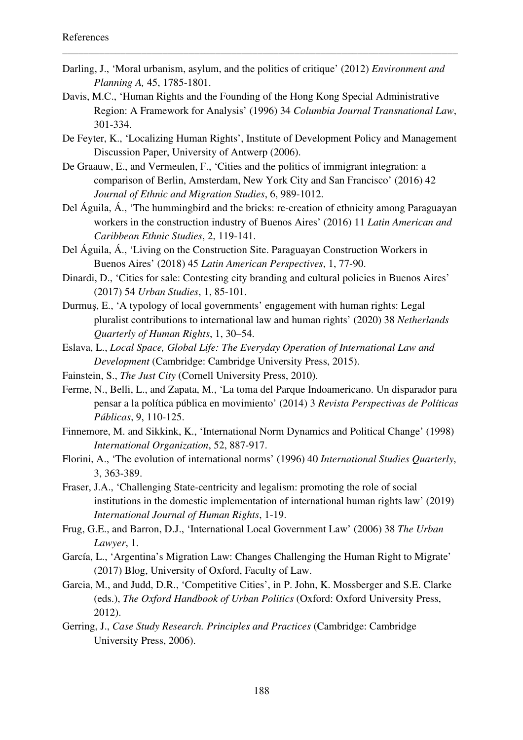Darling, J., 'Moral urbanism, asylum, and the politics of critique' (2012) *Environment and Planning A,* 45, 1785-1801.

- Davis, M.C., 'Human Rights and the Founding of the Hong Kong Special Administrative Region: A Framework for Analysis' (1996) 34 *Columbia Journal Transnational Law*, 301-334.
- De Feyter, K., 'Localizing Human Rights', Institute of Development Policy and Management Discussion Paper, University of Antwerp (2006).
- De Graauw, E., and Vermeulen, F., 'Cities and the politics of immigrant integration: a comparison of Berlin, Amsterdam, New York City and San Francisco' (2016) 42 *Journal of Ethnic and Migration Studies*, 6, 989-1012.
- Del Águila, Á., 'The hummingbird and the bricks: re-creation of ethnicity among Paraguayan workers in the construction industry of Buenos Aires' (2016) 11 *Latin American and Caribbean Ethnic Studies*, 2, 119-141.
- Del Águila, Á., 'Living on the Construction Site. Paraguayan Construction Workers in Buenos Aires' (2018) 45 *Latin American Perspectives*, 1, 77-90.
- Dinardi, D., 'Cities for sale: Contesting city branding and cultural policies in Buenos Aires' (2017) 54 *Urban Studies*, 1, 85-101.
- Durmuş, E., 'A typology of local governments' engagement with human rights: Legal pluralist contributions to international law and human rights' (2020) 38 *Netherlands Quarterly of Human Rights*, 1, 30–54.
- Eslava, L., *Local Space, Global Life: The Everyday Operation of International Law and Development* (Cambridge: Cambridge University Press, 2015).
- Fainstein, S., *The Just City* (Cornell University Press, 2010).
- Ferme, N., Belli, L., and Zapata, M., 'La toma del Parque Indoamericano. Un disparador para pensar a la política pública en movimiento' (2014) 3 *Revista Perspectivas de Políticas Públicas*, 9, 110-125.
- Finnemore, M. and Sikkink, K., 'International Norm Dynamics and Political Change' (1998) *International Organization*, 52, 887-917.
- Florini, A., 'The evolution of international norms' (1996) 40 *International Studies Quarterly*, 3, 363-389.
- Fraser, J.A., 'Challenging State-centricity and legalism: promoting the role of social institutions in the domestic implementation of international human rights law' (2019) *International Journal of Human Rights*, 1-19.
- Frug, G.E., and Barron, D.J., 'International Local Government Law' (2006) 38 *The Urban Lawyer*, 1.
- García, L., 'Argentina's Migration Law: Changes Challenging the Human Right to Migrate' (2017) Blog, University of Oxford, Faculty of Law.
- Garcia, M., and Judd, D.R., 'Competitive Cities', in P. John, K. Mossberger and S.E. Clarke (eds.), *The Oxford Handbook of Urban Politics* (Oxford: Oxford University Press, 2012).
- Gerring, J., *Case Study Research. Principles and Practices* (Cambridge: Cambridge University Press, 2006).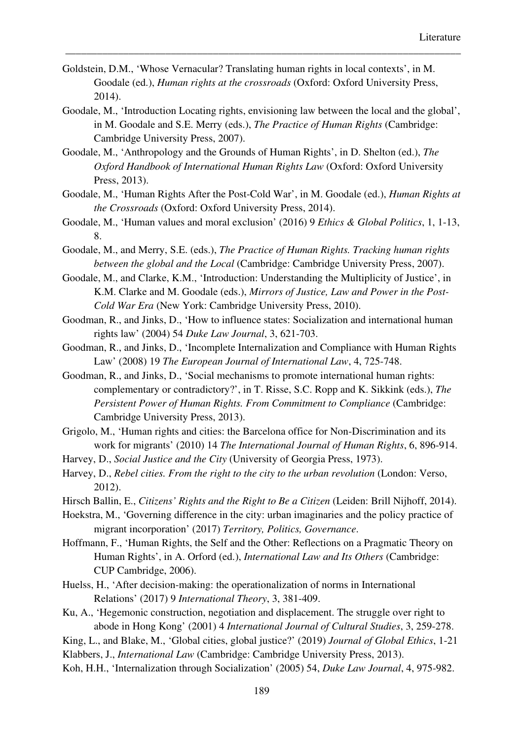- Goldstein, D.M., 'Whose Vernacular? Translating human rights in local contexts', in M. Goodale (ed.), *Human rights at the crossroads* (Oxford: Oxford University Press, 2014).
- Goodale, M., 'Introduction Locating rights, envisioning law between the local and the global', in M. Goodale and S.E. Merry (eds.), *The Practice of Human Rights* (Cambridge: Cambridge University Press, 2007).

- Goodale, M., 'Anthropology and the Grounds of Human Rights', in D. Shelton (ed.), *The Oxford Handbook of International Human Rights Law* (Oxford: Oxford University Press, 2013).
- Goodale, M., 'Human Rights After the Post-Cold War', in M. Goodale (ed.), *Human Rights at the Crossroads* (Oxford: Oxford University Press, 2014).
- Goodale, M., 'Human values and moral exclusion' (2016) 9 *Ethics & Global Politics*, 1, 1-13, 8.
- Goodale, M., and Merry, S.E. (eds.), *The Practice of Human Rights. Tracking human rights between the global and the Local* (Cambridge: Cambridge University Press, 2007).
- Goodale, M., and Clarke, K.M., 'Introduction: Understanding the Multiplicity of Justice', in K.M. Clarke and M. Goodale (eds.), *Mirrors of Justice, Law and Power in the Post-Cold War Era* (New York: Cambridge University Press, 2010).
- Goodman, R., and Jinks, D., 'How to influence states: Socialization and international human rights law' (2004) 54 *Duke Law Journal*, 3, 621-703.
- Goodman, R., and Jinks, D., 'Incomplete Internalization and Compliance with Human Rights Law' (2008) 19 *The European Journal of International Law*, 4, 725-748.
- Goodman, R., and Jinks, D., 'Social mechanisms to promote international human rights: complementary or contradictory?', in T. Risse, S.C. Ropp and K. Sikkink (eds.), *The Persistent Power of Human Rights. From Commitment to Compliance* (Cambridge: Cambridge University Press, 2013).
- Grigolo, M., 'Human rights and cities: the Barcelona office for Non-Discrimination and its work for migrants' (2010) 14 *The International Journal of Human Rights*, 6, 896-914.
- Harvey, D., *Social Justice and the City* (University of Georgia Press, 1973).
- Harvey, D., *Rebel cities. From the right to the city to the urban revolution* (London: Verso, 2012).
- Hirsch Ballin, E., *Citizens' Rights and the Right to Be a Citizen* (Leiden: Brill Nijhoff, 2014).
- Hoekstra, M., 'Governing difference in the city: urban imaginaries and the policy practice of migrant incorporation' (2017) *Territory, Politics, Governance*.
- Hoffmann, F., 'Human Rights, the Self and the Other: Reflections on a Pragmatic Theory on Human Rights', in A. Orford (ed.), *International Law and Its Others* (Cambridge: CUP Cambridge, 2006).
- Huelss, H., 'After decision-making: the operationalization of norms in International Relations' (2017) 9 *International Theory*, 3, 381-409.
- Ku, A., 'Hegemonic construction, negotiation and displacement. The struggle over right to abode in Hong Kong' (2001) 4 *International Journal of Cultural Studies*, 3, 259-278.
- King, L., and Blake, M., 'Global cities, global justice?' (2019) *Journal of Global Ethics*, 1-21 Klabbers, J., *International Law* (Cambridge: Cambridge University Press, 2013).
- Koh, H.H., 'Internalization through Socialization' (2005) 54, *Duke Law Journal*, 4, 975-982.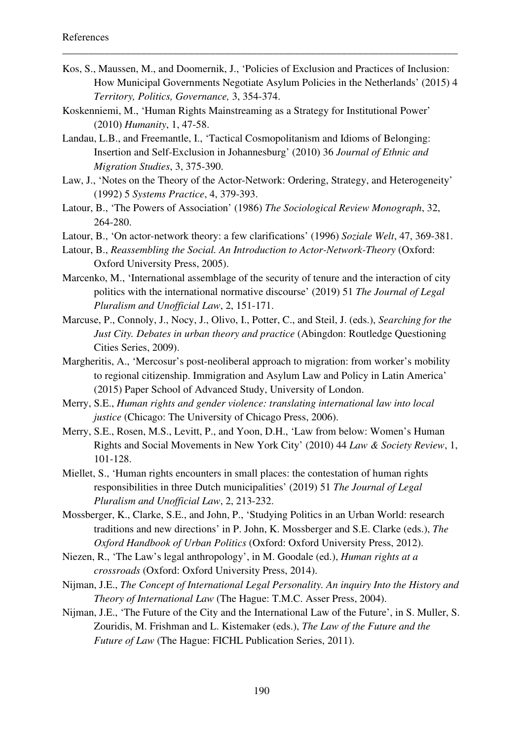Kos, S., Maussen, M., and Doomernik, J., 'Policies of Exclusion and Practices of Inclusion: How Municipal Governments Negotiate Asylum Policies in the Netherlands' (2015) 4 *Territory, Politics, Governance,* 3, 354-374.

- Koskenniemi, M., 'Human Rights Mainstreaming as a Strategy for Institutional Power' (2010) *Humanity*, 1, 47-58.
- Landau, L.B., and Freemantle, I., 'Tactical Cosmopolitanism and Idioms of Belonging: Insertion and Self-Exclusion in Johannesburg' (2010) 36 *Journal of Ethnic and Migration Studies*, 3, 375-390.
- Law, J., 'Notes on the Theory of the Actor-Network: Ordering, Strategy, and Heterogeneity' (1992) 5 *Systems Practice*, 4, 379-393.
- Latour, B., 'The Powers of Association' (1986) *The Sociological Review Monograph*, 32, 264-280.
- Latour, B., 'On actor-network theory: a few clarifications' (1996) *Soziale Welt*, 47, 369-381.
- Latour, B., *Reassembling the Social. An Introduction to Actor-Network-Theory* (Oxford: Oxford University Press, 2005).
- Marcenko, M., 'International assemblage of the security of tenure and the interaction of city politics with the international normative discourse' (2019) 51 *The Journal of Legal Pluralism and Unofficial Law*, 2, 151-171.
- Marcuse, P., Connoly, J., Nocy, J., Olivo, I., Potter, C., and Steil, J. (eds.), *Searching for the Just City. Debates in urban theory and practice* (Abingdon: Routledge Questioning Cities Series, 2009).
- Margheritis, A., 'Mercosur's post-neoliberal approach to migration: from worker's mobility to regional citizenship. Immigration and Asylum Law and Policy in Latin America' (2015) Paper School of Advanced Study, University of London.
- Merry, S.E., *Human rights and gender violence: translating international law into local justice* (Chicago: The University of Chicago Press, 2006).
- Merry, S.E., Rosen, M.S., Levitt, P., and Yoon, D.H., 'Law from below: Women's Human Rights and Social Movements in New York City' (2010) 44 *Law & Society Review*, 1, 101-128.
- Miellet, S., 'Human rights encounters in small places: the contestation of human rights responsibilities in three Dutch municipalities' (2019) 51 *The Journal of Legal Pluralism and Unofficial Law*, 2, 213-232.
- Mossberger, K., Clarke, S.E., and John, P., 'Studying Politics in an Urban World: research traditions and new directions' in P. John, K. Mossberger and S.E. Clarke (eds.), *The Oxford Handbook of Urban Politics* (Oxford: Oxford University Press, 2012).
- Niezen, R., 'The Law's legal anthropology', in M. Goodale (ed.), *Human rights at a crossroads* (Oxford: Oxford University Press, 2014).
- Nijman, J.E., *The Concept of International Legal Personality. An inquiry Into the History and Theory of International Law* (The Hague: T.M.C. Asser Press, 2004).
- Nijman, J.E., 'The Future of the City and the International Law of the Future', in S. Muller, S. Zouridis, M. Frishman and L. Kistemaker (eds.), *The Law of the Future and the Future of Law* (The Hague: FICHL Publication Series, 2011).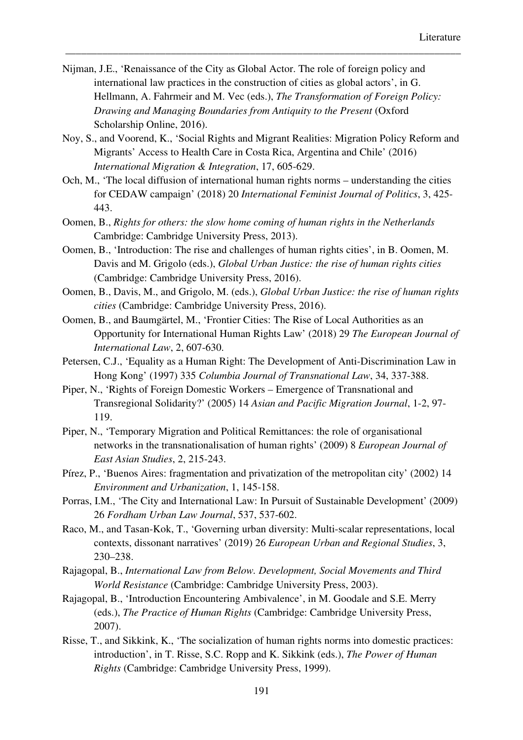Nijman, J.E., 'Renaissance of the City as Global Actor. The role of foreign policy and international law practices in the construction of cities as global actors', in G. Hellmann, A. Fahrmeir and M. Vec (eds.), *The Transformation of Foreign Policy: Drawing and Managing Boundaries from Antiquity to the Present* (Oxford Scholarship Online, 2016).

- Noy, S., and Voorend, K., 'Social Rights and Migrant Realities: Migration Policy Reform and Migrants' Access to Health Care in Costa Rica, Argentina and Chile' (2016) *International Migration & Integration*, 17, 605-629.
- Och, M., 'The local diffusion of international human rights norms understanding the cities for CEDAW campaign' (2018) 20 *International Feminist Journal of Politics*, 3, 425- 443.
- Oomen, B., *Rights for others: the slow home coming of human rights in the Netherlands* Cambridge: Cambridge University Press, 2013).
- Oomen, B., 'Introduction: The rise and challenges of human rights cities', in B. Oomen, M. Davis and M. Grigolo (eds.), *Global Urban Justice: the rise of human rights cities* (Cambridge: Cambridge University Press, 2016).
- Oomen, B., Davis, M., and Grigolo, M. (eds.), *Global Urban Justice: the rise of human rights cities* (Cambridge: Cambridge University Press, 2016).
- Oomen, B., and Baumgärtel, M., 'Frontier Cities: The Rise of Local Authorities as an Opportunity for International Human Rights Law' (2018) 29 *The European Journal of International Law*, 2, 607-630.
- Petersen, C.J., 'Equality as a Human Right: The Development of Anti-Discrimination Law in Hong Kong' (1997) 335 *Columbia Journal of Transnational Law*, 34, 337-388.
- Piper, N., 'Rights of Foreign Domestic Workers Emergence of Transnational and Transregional Solidarity?' (2005) 14 *Asian and Pacific Migration Journal*, 1-2, 97- 119.
- Piper, N., 'Temporary Migration and Political Remittances: the role of organisational networks in the transnationalisation of human rights' (2009) 8 *European Journal of East Asian Studies*, 2, 215-243.
- Pírez, P., 'Buenos Aires: fragmentation and privatization of the metropolitan city' (2002) 14 *Environment and Urbanization*, 1, 145-158.
- Porras, I.M., 'The City and International Law: In Pursuit of Sustainable Development' (2009) 26 *Fordham Urban Law Journal*, 537, 537-602.
- Raco, M., and Tasan-Kok, T., 'Governing urban diversity: Multi-scalar representations, local contexts, dissonant narratives' (2019) 26 *European Urban and Regional Studies*, 3, 230–238.
- Rajagopal, B., *International Law from Below. Development, Social Movements and Third World Resistance* (Cambridge: Cambridge University Press, 2003).
- Rajagopal, B., 'Introduction Encountering Ambivalence', in M. Goodale and S.E. Merry (eds.), *The Practice of Human Rights* (Cambridge: Cambridge University Press, 2007).
- Risse, T., and Sikkink, K., 'The socialization of human rights norms into domestic practices: introduction', in T. Risse, S.C. Ropp and K. Sikkink (eds.), *The Power of Human Rights* (Cambridge: Cambridge University Press, 1999).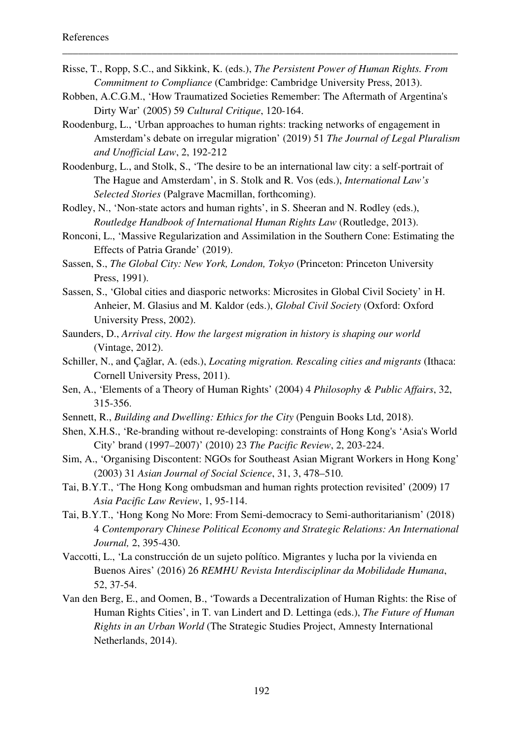Risse, T., Ropp, S.C., and Sikkink, K. (eds.), *The Persistent Power of Human Rights. From Commitment to Compliance* (Cambridge: Cambridge University Press, 2013).

- Robben, A.C.G.M., 'How Traumatized Societies Remember: The Aftermath of Argentina's Dirty War' (2005) 59 *Cultural Critique*, 120-164.
- Roodenburg, L., 'Urban approaches to human rights: tracking networks of engagement in Amsterdam's debate on irregular migration' (2019) 51 *The Journal of Legal Pluralism and Unofficial Law*, 2, 192-212
- Roodenburg, L., and Stolk, S., 'The desire to be an international law city: a self-portrait of The Hague and Amsterdam', in S. Stolk and R. Vos (eds.), *International Law's Selected Stories* (Palgrave Macmillan, forthcoming).
- Rodley, N., 'Non-state actors and human rights', in S. Sheeran and N. Rodley (eds.), *Routledge Handbook of International Human Rights Law* (Routledge, 2013).
- Ronconi, L., 'Massive Regularization and Assimilation in the Southern Cone: Estimating the Effects of Patria Grande' (2019).
- Sassen, S., *The Global City: New York, London, Tokyo* (Princeton: Princeton University Press, 1991).
- Sassen, S., 'Global cities and diasporic networks: Microsites in Global Civil Society' in H. Anheier, M. Glasius and M. Kaldor (eds.), *Global Civil Society* (Oxford: Oxford University Press, 2002).
- Saunders, D., *Arrival city. How the largest migration in history is shaping our world* (Vintage, 2012).
- Schiller, N., and Çağlar, A. (eds.), *Locating migration. Rescaling cities and migrants* (Ithaca: Cornell University Press, 2011).
- Sen, A., 'Elements of a Theory of Human Rights' (2004) 4 *Philosophy & Public Affairs*, 32, 315-356.
- Sennett, R., *Building and Dwelling: Ethics for the City* (Penguin Books Ltd, 2018).
- Shen, X.H.S., 'Re-branding without re-developing: constraints of Hong Kong's 'Asia's World City' brand (1997–2007)' (2010) 23 *The Pacific Review*, 2, 203-224.
- Sim, A., 'Organising Discontent: NGOs for Southeast Asian Migrant Workers in Hong Kong' (2003) 31 *Asian Journal of Social Science*, 31, 3, 478–510.
- Tai, B.Y.T., 'The Hong Kong ombudsman and human rights protection revisited' (2009) 17 *Asia Pacific Law Review*, 1, 95-114.
- Tai, B.Y.T., 'Hong Kong No More: From Semi-democracy to Semi-authoritarianism' (2018) 4 *Contemporary Chinese Political Economy and Strategic Relations: An International Journal,* 2, 395-430.
- Vaccotti, L., 'La construcción de un sujeto político. Migrantes y lucha por la vivienda en Buenos Aires' (2016) 26 *REMHU Revista Interdisciplinar da Mobilidade Humana*, 52, 37-54.
- Van den Berg, E., and Oomen, B., 'Towards a Decentralization of Human Rights: the Rise of Human Rights Cities', in T. van Lindert and D. Lettinga (eds.), *The Future of Human Rights in an Urban World* (The Strategic Studies Project, Amnesty International Netherlands, 2014).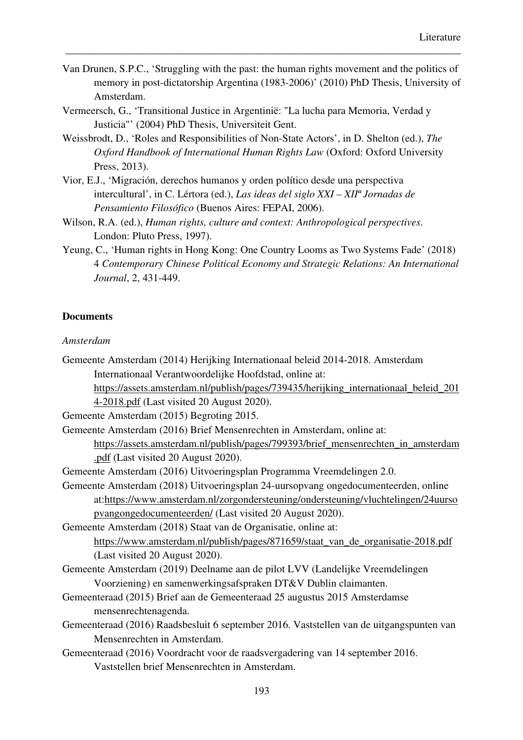Van Drunen, S.P.C., 'Struggling with the past: the human rights movement and the politics of memory in post-dictatorship Argentina (1983-2006)' (2010) PhD Thesis, University of Amsterdam.

\_\_\_\_\_\_\_\_\_\_\_\_\_\_\_\_\_\_\_\_\_\_\_\_\_\_\_\_\_\_\_\_\_\_\_\_\_\_\_\_\_\_\_\_\_\_\_\_\_\_\_\_\_\_\_\_\_\_\_\_\_\_\_\_\_\_\_\_\_\_\_\_\_\_\_

- Vermeersch, G., 'Transitional Justice in Argentinië: "La lucha para Memoria, Verdad y Justicia"' (2004) PhD Thesis, Universiteit Gent.
- Weissbrodt, D., 'Roles and Responsibilities of Non-State Actors', in D. Shelton (ed.), *The Oxford Handbook of International Human Rights Law* (Oxford: Oxford University Press, 2013).
- Vior, E.J., 'Migración, derechos humanos y orden político desde una perspectiva intercultural', in C. Lértora (ed.), *Las ideas del siglo XXI – XIIª Jornadas de Pensamiento Filosófico* (Buenos Aires: FEPAI, 2006).
- Wilson, R.A. (ed.), *Human rights, culture and context: Anthropological perspectives*. London: Pluto Press, 1997).
- Yeung, C., 'Human rights in Hong Kong: One Country Looms as Two Systems Fade' (2018) 4 *Contemporary Chinese Political Economy and Strategic Relations: An International Journal*, 2, 431-449.

### **Documents**

#### *Amsterdam*

- Gemeente Amsterdam (2014) Herijking Internationaal beleid 2014-2018. Amsterdam Internationaal Verantwoordelijke Hoofdstad, online at:
	- https://assets.amsterdam.nl/publish/pages/739435/herijking\_internationaal\_beleid\_201

4-2018.pdf (Last visited 20 August 2020).

- Gemeente Amsterdam (2015) Begroting 2015.
- Gemeente Amsterdam (2016) Brief Mensenrechten in Amsterdam, online at:
	- https://assets.amsterdam.nl/publish/pages/799393/brief\_mensenrechten\_in\_amsterdam .pdf (Last visited 20 August 2020).
- Gemeente Amsterdam (2016) Uitvoeringsplan Programma Vreemdelingen 2.0.
- Gemeente Amsterdam (2018) Uitvoeringsplan 24-uursopvang ongedocumenteerden, online at:https://www.amsterdam.nl/zorgondersteuning/ondersteuning/vluchtelingen/24uurso pvangongedocumenteerden/ (Last visited 20 August 2020).
- Gemeente Amsterdam (2018) Staat van de Organisatie, online at: https://www.amsterdam.nl/publish/pages/871659/staat\_van\_de\_organisatie-2018.pdf (Last visited 20 August 2020).
- Gemeente Amsterdam (2019) Deelname aan de pilot LVV (Landelijke Vreemdelingen Voorziening) en samenwerkingsafspraken DT&V Dublin claimanten.
- Gemeenteraad (2015) Brief aan de Gemeenteraad 25 augustus 2015 Amsterdamse mensenrechtenagenda.
- Gemeenteraad (2016) Raadsbesluit 6 september 2016. Vaststellen van de uitgangspunten van Mensenrechten in Amsterdam.
- Gemeenteraad (2016) Voordracht voor de raadsvergadering van 14 september 2016. Vaststellen brief Mensenrechten in Amsterdam.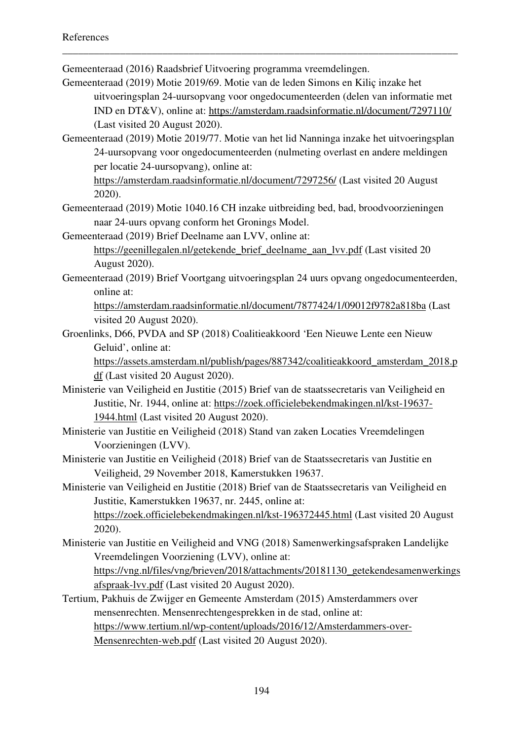Gemeenteraad (2016) Raadsbrief Uitvoering programma vreemdelingen.

Gemeenteraad (2019) Motie 2019/69. Motie van de leden Simons en Kiliç inzake het uitvoeringsplan 24-uursopvang voor ongedocumenteerden (delen van informatie met IND en DT&V), online at: https://amsterdam.raadsinformatie.nl/document/7297110/ (Last visited 20 August 2020).

\_\_\_\_\_\_\_\_\_\_\_\_\_\_\_\_\_\_\_\_\_\_\_\_\_\_\_\_\_\_\_\_\_\_\_\_\_\_\_\_\_\_\_\_\_\_\_\_\_\_\_\_\_\_\_\_\_\_\_\_\_\_\_\_\_\_\_\_\_\_\_\_\_\_\_

Gemeenteraad (2019) Motie 2019/77. Motie van het lid Nanninga inzake het uitvoeringsplan 24-uursopvang voor ongedocumenteerden (nulmeting overlast en andere meldingen per locatie 24-uursopvang), online at:

https://amsterdam.raadsinformatie.nl/document/7297256/ (Last visited 20 August 2020).

- Gemeenteraad (2019) Motie 1040.16 CH inzake uitbreiding bed, bad, broodvoorzieningen naar 24-uurs opvang conform het Gronings Model.
- Gemeenteraad (2019) Brief Deelname aan LVV, online at: https://geenillegalen.nl/getekende\_brief\_deelname\_aan\_lvv.pdf (Last visited 20 August 2020).
- Gemeenteraad (2019) Brief Voortgang uitvoeringsplan 24 uurs opvang ongedocumenteerden, online at:

https://amsterdam.raadsinformatie.nl/document/7877424/1/09012f9782a818ba (Last visited 20 August 2020).

Groenlinks, D66, PVDA and SP (2018) Coalitieakkoord 'Een Nieuwe Lente een Nieuw Geluid', online at:

https://assets.amsterdam.nl/publish/pages/887342/coalitieakkoord\_amsterdam\_2018.p df (Last visited 20 August 2020).

- Ministerie van Veiligheid en Justitie (2015) Brief van de staatssecretaris van Veiligheid en Justitie, Nr. 1944, online at: https://zoek.officielebekendmakingen.nl/kst-19637- 1944.html (Last visited 20 August 2020).
- Ministerie van Justitie en Veiligheid (2018) Stand van zaken Locaties Vreemdelingen Voorzieningen (LVV).
- Ministerie van Justitie en Veiligheid (2018) Brief van de Staatssecretaris van Justitie en Veiligheid, 29 November 2018, Kamerstukken 19637.

Ministerie van Veiligheid en Justitie (2018) Brief van de Staatssecretaris van Veiligheid en Justitie, Kamerstukken 19637, nr. 2445, online at: https://zoek.officielebekendmakingen.nl/kst-196372445.html (Last visited 20 August

2020).

Ministerie van Justitie en Veiligheid and VNG (2018) Samenwerkingsafspraken Landelijke Vreemdelingen Voorziening (LVV), online at:

https://vng.nl/files/vng/brieven/2018/attachments/20181130\_getekendesamenwerkings afspraak-lvv.pdf (Last visited 20 August 2020).

Tertium, Pakhuis de Zwijger en Gemeente Amsterdam (2015) Amsterdammers over mensenrechten. Mensenrechtengesprekken in de stad, online at: https://www.tertium.nl/wp-content/uploads/2016/12/Amsterdammers-over-Mensenrechten-web.pdf (Last visited 20 August 2020).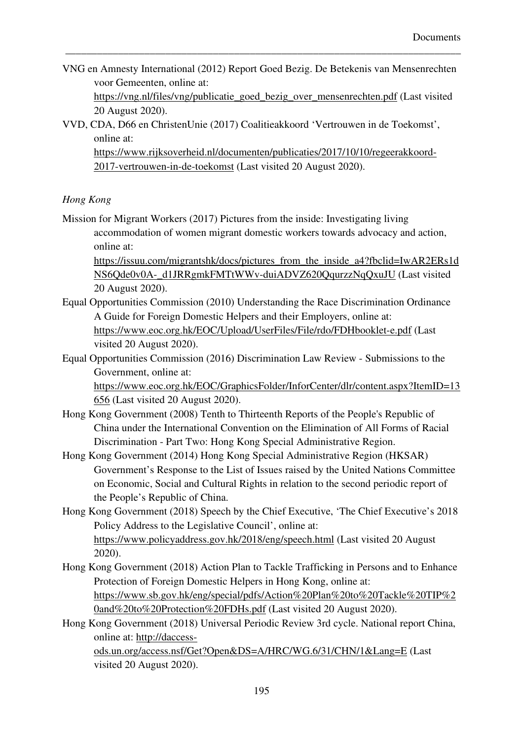VNG en Amnesty International (2012) Report Goed Bezig. De Betekenis van Mensenrechten voor Gemeenten, online at:

\_\_\_\_\_\_\_\_\_\_\_\_\_\_\_\_\_\_\_\_\_\_\_\_\_\_\_\_\_\_\_\_\_\_\_\_\_\_\_\_\_\_\_\_\_\_\_\_\_\_\_\_\_\_\_\_\_\_\_\_\_\_\_\_\_\_\_\_\_\_\_\_\_\_\_

https://vng.nl/files/vng/publicatie\_goed\_bezig\_over\_mensenrechten.pdf (Last visited 20 August 2020).

VVD, CDA, D66 en ChristenUnie (2017) Coalitieakkoord 'Vertrouwen in de Toekomst', online at:

https://www.rijksoverheid.nl/documenten/publicaties/2017/10/10/regeerakkoord-2017-vertrouwen-in-de-toekomst (Last visited 20 August 2020).

#### *Hong Kong*

Mission for Migrant Workers (2017) Pictures from the inside: Investigating living accommodation of women migrant domestic workers towards advocacy and action, online at:

https://issuu.com/migrantshk/docs/pictures\_from\_the\_inside\_a4?fbclid=IwAR2ERs1d NS6Qde0v0A-\_d1JRRgmkFMTtWWv-duiADVZ620QqurzzNqQxuJU (Last visited 20 August 2020).

- Equal Opportunities Commission (2010) Understanding the Race Discrimination Ordinance A Guide for Foreign Domestic Helpers and their Employers, online at: https://www.eoc.org.hk/EOC/Upload/UserFiles/File/rdo/FDHbooklet-e.pdf (Last visited 20 August 2020).
- Equal Opportunities Commission (2016) Discrimination Law Review Submissions to the Government, online at: https://www.eoc.org.hk/EOC/GraphicsFolder/InforCenter/dlr/content.aspx?ItemID=13

656 (Last visited 20 August 2020).

- Hong Kong Government (2008) Tenth to Thirteenth Reports of the People's Republic of China under the International Convention on the Elimination of All Forms of Racial Discrimination - Part Two: Hong Kong Special Administrative Region.
- Hong Kong Government (2014) Hong Kong Special Administrative Region (HKSAR) Government's Response to the List of Issues raised by the United Nations Committee on Economic, Social and Cultural Rights in relation to the second periodic report of the People's Republic of China.
- Hong Kong Government (2018) Speech by the Chief Executive, 'The Chief Executive's 2018 Policy Address to the Legislative Council', online at: https://www.policyaddress.gov.hk/2018/eng/speech.html (Last visited 20 August 2020).
- Hong Kong Government (2018) Action Plan to Tackle Trafficking in Persons and to Enhance Protection of Foreign Domestic Helpers in Hong Kong, online at: https://www.sb.gov.hk/eng/special/pdfs/Action%20Plan%20to%20Tackle%20TIP%2 0and%20to%20Protection%20FDHs.pdf (Last visited 20 August 2020).
- Hong Kong Government (2018) Universal Periodic Review 3rd cycle. National report China, online at: http://daccessods.un.org/access.nsf/Get?Open&DS=A/HRC/WG.6/31/CHN/1&Lang=E (Last visited 20 August 2020).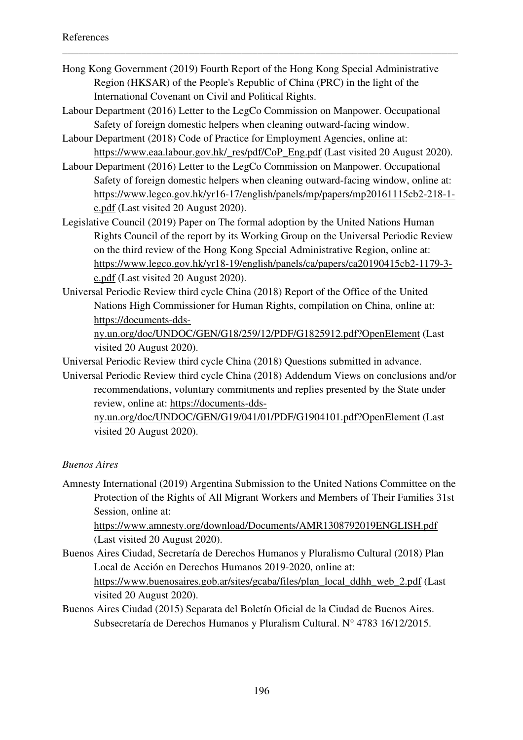Hong Kong Government (2019) Fourth Report of the Hong Kong Special Administrative Region (HKSAR) of the People's Republic of China (PRC) in the light of the International Covenant on Civil and Political Rights.

\_\_\_\_\_\_\_\_\_\_\_\_\_\_\_\_\_\_\_\_\_\_\_\_\_\_\_\_\_\_\_\_\_\_\_\_\_\_\_\_\_\_\_\_\_\_\_\_\_\_\_\_\_\_\_\_\_\_\_\_\_\_\_\_\_\_\_\_\_\_\_\_\_\_\_

- Labour Department (2016) Letter to the LegCo Commission on Manpower. Occupational Safety of foreign domestic helpers when cleaning outward-facing window.
- Labour Department (2018) Code of Practice for Employment Agencies, online at: https://www.eaa.labour.gov.hk/\_res/pdf/CoP\_Eng.pdf (Last visited 20 August 2020).
- Labour Department (2016) Letter to the LegCo Commission on Manpower. Occupational Safety of foreign domestic helpers when cleaning outward-facing window, online at: https://www.legco.gov.hk/yr16-17/english/panels/mp/papers/mp20161115cb2-218-1 e.pdf (Last visited 20 August 2020).
- Legislative Council (2019) Paper on The formal adoption by the United Nations Human Rights Council of the report by its Working Group on the Universal Periodic Review on the third review of the Hong Kong Special Administrative Region, online at: https://www.legco.gov.hk/yr18-19/english/panels/ca/papers/ca20190415cb2-1179-3 e.pdf (Last visited 20 August 2020).
- Universal Periodic Review third cycle China (2018) Report of the Office of the United Nations High Commissioner for Human Rights, compilation on China, online at: https://documents-dds-

ny.un.org/doc/UNDOC/GEN/G18/259/12/PDF/G1825912.pdf?OpenElement (Last visited 20 August 2020).

Universal Periodic Review third cycle China (2018) Questions submitted in advance.

Universal Periodic Review third cycle China (2018) Addendum Views on conclusions and/or recommendations, voluntary commitments and replies presented by the State under review, online at: https://documents-dds-

ny.un.org/doc/UNDOC/GEN/G19/041/01/PDF/G1904101.pdf?OpenElement (Last visited 20 August 2020).

# *Buenos Aires*

Amnesty International (2019) Argentina Submission to the United Nations Committee on the Protection of the Rights of All Migrant Workers and Members of Their Families 31st Session, online at:

https://www.amnesty.org/download/Documents/AMR1308792019ENGLISH.pdf (Last visited 20 August 2020).

- Buenos Aires Ciudad, Secretaría de Derechos Humanos y Pluralismo Cultural (2018) Plan Local de Acción en Derechos Humanos 2019-2020, online at: https://www.buenosaires.gob.ar/sites/gcaba/files/plan\_local\_ddhh\_web\_2.pdf (Last visited 20 August 2020).
- Buenos Aires Ciudad (2015) Separata del Boletín Oficial de la Ciudad de Buenos Aires. Subsecretaría de Derechos Humanos y Pluralism Cultural. N° 4783 16/12/2015.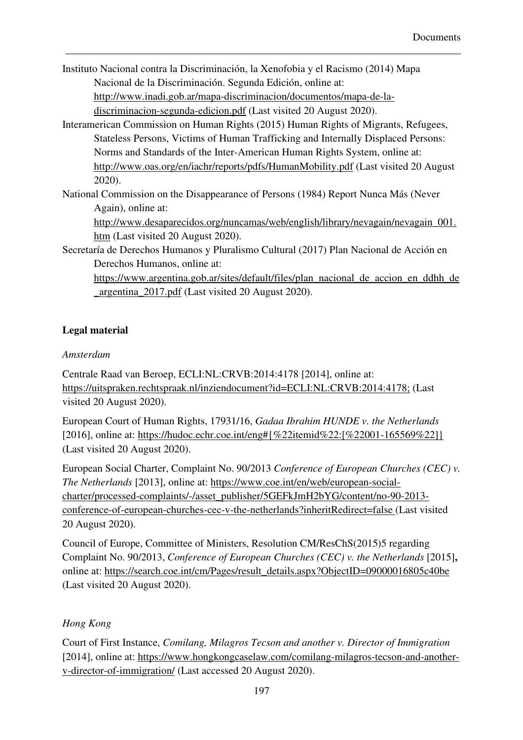Instituto Nacional contra la Discriminación, la Xenofobia y el Racismo (2014) Mapa Nacional de la Discriminación. Segunda Edición, online at:

http://www.inadi.gob.ar/mapa-discriminacion/documentos/mapa-de-la-

discriminacion-segunda-edicion.pdf (Last visited 20 August 2020).

Interamerican Commission on Human Rights (2015) Human Rights of Migrants, Refugees, Stateless Persons, Victims of Human Trafficking and Internally Displaced Persons: Norms and Standards of the Inter-American Human Rights System, online at: http://www.oas.org/en/iachr/reports/pdfs/HumanMobility.pdf (Last visited 20 August 2020).

\_\_\_\_\_\_\_\_\_\_\_\_\_\_\_\_\_\_\_\_\_\_\_\_\_\_\_\_\_\_\_\_\_\_\_\_\_\_\_\_\_\_\_\_\_\_\_\_\_\_\_\_\_\_\_\_\_\_\_\_\_\_\_\_\_\_\_\_\_\_\_\_\_\_\_

National Commission on the Disappearance of Persons (1984) Report Nunca Más (Never Again), online at:

http://www.desaparecidos.org/nuncamas/web/english/library/nevagain/nevagain\_001. htm (Last visited 20 August 2020).

Secretaría de Derechos Humanos y Pluralismo Cultural (2017) Plan Nacional de Acción en Derechos Humanos, online at:

https://www.argentina.gob.ar/sites/default/files/plan\_nacional\_de\_accion\_en\_ddhh\_de \_argentina\_2017.pdf (Last visited 20 August 2020).

# **Legal material**

# *Amsterdam*

Centrale Raad van Beroep, ECLI:NL:CRVB:2014:4178 [2014], online at: https://uitspraken.rechtspraak.nl/inziendocument?id=ECLI:NL:CRVB:2014:4178; (Last visited 20 August 2020).

European Court of Human Rights, 17931/16, *Gadaa Ibrahim HUNDE v. the Netherlands* [2016], online at: https://hudoc.echr.coe.int/eng#{%22itemid%22:[%22001-165569%22]} (Last visited 20 August 2020).

European Social Charter, Complaint No. 90/2013 *Conference of European Churches (CEC) v. The Netherlands* [2013], online at: https://www.coe.int/en/web/european-socialcharter/processed-complaints/-/asset\_publisher/5GEFkJmH2bYG/content/no-90-2013 conference-of-european-churches-cec-v-the-netherlands?inheritRedirect=false (Last visited 20 August 2020).

Council of Europe, Committee of Ministers, Resolution CM/ResChS(2015)5 regarding Complaint No. 90/2013, *Conference of European Churches (CEC) v. the Netherlands* [2015]**,**  online at: https://search.coe.int/cm/Pages/result\_details.aspx?ObjectID=09000016805c40be (Last visited 20 August 2020).

# *Hong Kong*

Court of First Instance, *Comilang, Milagros Tecson and another v. Director of Immigration* [2014], online at: https://www.hongkongcaselaw.com/comilang-milagros-tecson-and-anotherv-director-of-immigration/ (Last accessed 20 August 2020).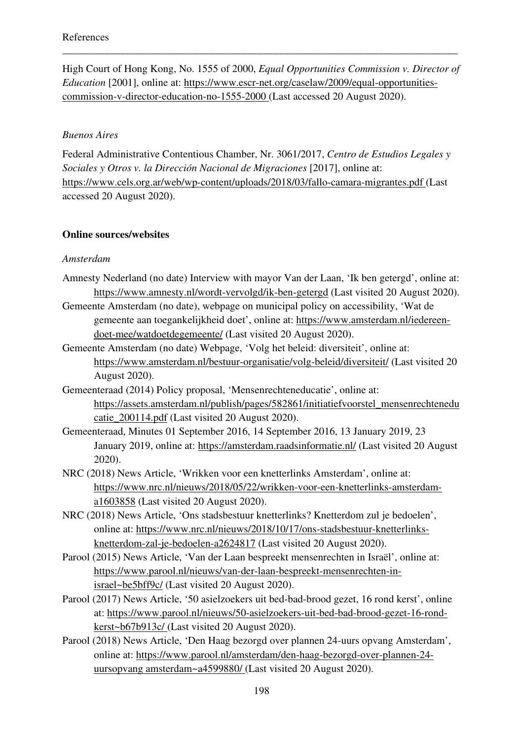High Court of Hong Kong, No. 1555 of 2000, *Equal Opportunities Commission v. Director of Education* [2001], online at: https://www.escr-net.org/caselaw/2009/equal-opportunitiescommission-v-director-education-no-1555-2000 (Last accessed 20 August 2020).

\_\_\_\_\_\_\_\_\_\_\_\_\_\_\_\_\_\_\_\_\_\_\_\_\_\_\_\_\_\_\_\_\_\_\_\_\_\_\_\_\_\_\_\_\_\_\_\_\_\_\_\_\_\_\_\_\_\_\_\_\_\_\_\_\_\_\_\_\_\_\_\_\_\_\_

## *Buenos Aires*

Federal Administrative Contentious Chamber, Nr. 3061/2017, *Centro de Estudios Legales y Sociales y Otros v. la Dirección Nacional de Migraciones* [2017], online at: https://www.cels.org.ar/web/wp-content/uploads/2018/03/fallo-camara-migrantes.pdf (Last accessed 20 August 2020).

# **Online sources/websites**

### *Amsterdam*

- Amnesty Nederland (no date) Interview with mayor Van der Laan, 'Ik ben getergd', online at: https://www.amnesty.nl/wordt-vervolgd/ik-ben-getergd (Last visited 20 August 2020).
- Gemeente Amsterdam (no date), webpage on municipal policy on accessibility, 'Wat de gemeente aan toegankelijkheid doet', online at: https://www.amsterdam.nl/iedereendoet-mee/watdoetdegemeente/ (Last visited 20 August 2020).
- Gemeente Amsterdam (no date) Webpage, 'Volg het beleid: diversiteit', online at: https://www.amsterdam.nl/bestuur-organisatie/volg-beleid/diversiteit/ (Last visited 20 August 2020).
- Gemeenteraad (2014) Policy proposal, 'Mensenrechteneducatie', online at: https://assets.amsterdam.nl/publish/pages/582861/initiatiefvoorstel\_mensenrechtenedu catie\_200114.pdf (Last visited 20 August 2020).
- Gemeenteraad, Minutes 01 September 2016, 14 September 2016, 13 January 2019, 23 January 2019, online at: https://amsterdam.raadsinformatie.nl/ (Last visited 20 August 2020).
- NRC (2018) News Article, 'Wrikken voor een knetterlinks Amsterdam', online at: https://www.nrc.nl/nieuws/2018/05/22/wrikken-voor-een-knetterlinks-amsterdama1603858 (Last visited 20 August 2020).
- NRC (2018) News Article, 'Ons stadsbestuur knetterlinks? Knetterdom zul je bedoelen', online at: https://www.nrc.nl/nieuws/2018/10/17/ons-stadsbestuur-knetterlinksknetterdom-zal-je-bedoelen-a2624817 (Last visited 20 August 2020).
- Parool (2015) News Article, 'Van der Laan bespreekt mensenrechten in Israël', online at: https://www.parool.nl/nieuws/van-der-laan-bespreekt-mensenrechten-inisrael~be5bff9c/ (Last visited 20 August 2020).
- Parool (2017) News Article, '50 asielzoekers uit bed-bad-brood gezet, 16 rond kerst', online at: https://www.parool.nl/nieuws/50-asielzoekers-uit-bed-bad-brood-gezet-16-rondkerst~b67b913c/ (Last visited 20 August 2020).
- Parool (2018) News Article, 'Den Haag bezorgd over plannen 24-uurs opvang Amsterdam', online at: https://www.parool.nl/amsterdam/den-haag-bezorgd-over-plannen-24 uursopvang amsterdam~a4599880/ (Last visited 20 August 2020).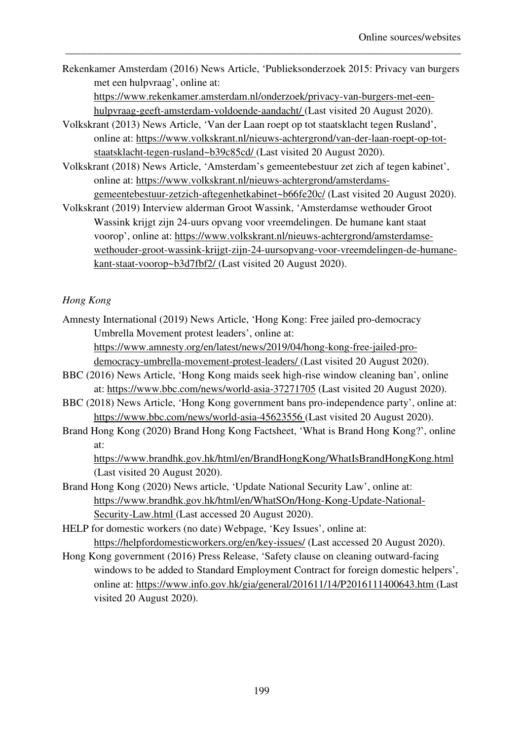Rekenkamer Amsterdam (2016) News Article, 'Publieksonderzoek 2015: Privacy van burgers met een hulpvraag', online at:

\_\_\_\_\_\_\_\_\_\_\_\_\_\_\_\_\_\_\_\_\_\_\_\_\_\_\_\_\_\_\_\_\_\_\_\_\_\_\_\_\_\_\_\_\_\_\_\_\_\_\_\_\_\_\_\_\_\_\_\_\_\_\_\_\_\_\_\_\_\_\_\_\_\_\_

https://www.rekenkamer.amsterdam.nl/onderzoek/privacy-van-burgers-met-eenhulpvraag-geeft-amsterdam-voldoende-aandacht/ (Last visited 20 August 2020).

- Volkskrant (2013) News Article, 'Van der Laan roept op tot staatsklacht tegen Rusland', online at: https://www.volkskrant.nl/nieuws-achtergrond/van-der-laan-roept-op-totstaatsklacht-tegen-rusland~b39c85cd/ (Last visited 20 August 2020).
- Volkskrant (2018) News Article, 'Amsterdam's gemeentebestuur zet zich af tegen kabinet', online at: https://www.volkskrant.nl/nieuws-achtergrond/amsterdamsgemeentebestuur-zetzich-aftegenhetkabinet~b66fe20c/ (Last visited 20 August 2020).
- Volkskrant (2019) Interview alderman Groot Wassink, 'Amsterdamse wethouder Groot Wassink krijgt zijn 24-uurs opvang voor vreemdelingen. De humane kant staat voorop', online at: https://www.volkskrant.nl/nieuws-achtergrond/amsterdamsewethouder-groot-wassink-krijgt-zijn-24-uursopvang-voor-vreemdelingen-de-humanekant-staat-voorop~b3d7fbf2/ (Last visited 20 August 2020).

# *Hong Kong*

- Amnesty International (2019) News Article, 'Hong Kong: Free jailed pro-democracy Umbrella Movement protest leaders', online at: https://www.amnesty.org/en/latest/news/2019/04/hong-kong-free-jailed-prodemocracy-umbrella-movement-protest-leaders/ (Last visited 20 August 2020).
- BBC (2016) News Article, 'Hong Kong maids seek high-rise window cleaning ban', online at: https://www.bbc.com/news/world-asia-37271705 (Last visited 20 August 2020).
- BBC (2018) News Article, 'Hong Kong government bans pro-independence party', online at: https://www.bbc.com/news/world-asia-45623556 (Last visited 20 August 2020).
- Brand Hong Kong (2020) Brand Hong Kong Factsheet, 'What is Brand Hong Kong?', online at:

https://www.brandhk.gov.hk/html/en/BrandHongKong/WhatIsBrandHongKong.html (Last visited 20 August 2020).

- Brand Hong Kong (2020) News article, 'Update National Security Law', online at: https://www.brandhk.gov.hk/html/en/WhatSOn/Hong-Kong-Update-National-Security-Law.html (Last accessed 20 August 2020).
- HELP for domestic workers (no date) Webpage, 'Key Issues', online at: https://helpfordomesticworkers.org/en/key-issues/ (Last accessed 20 August 2020).
- Hong Kong government (2016) Press Release, 'Safety clause on cleaning outward-facing windows to be added to Standard Employment Contract for foreign domestic helpers', online at: https://www.info.gov.hk/gia/general/201611/14/P2016111400643.htm (Last visited 20 August 2020).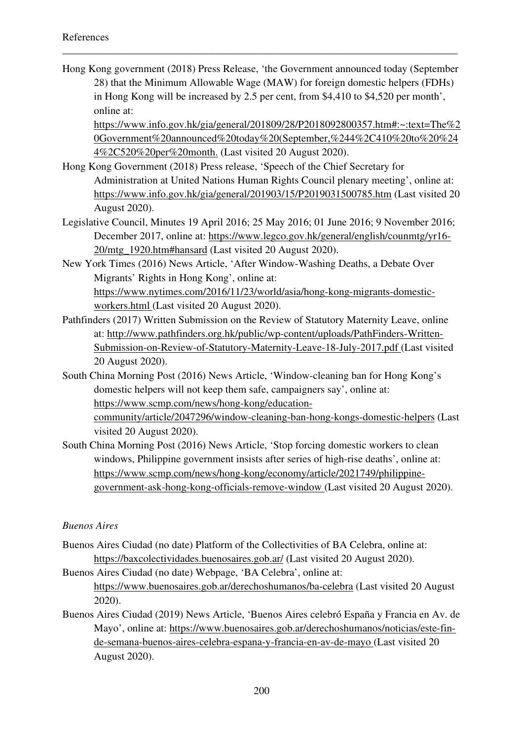Hong Kong government (2018) Press Release, 'the Government announced today (September 28) that the Minimum Allowable Wage (MAW) for foreign domestic helpers (FDHs) in Hong Kong will be increased by 2.5 per cent, from \$4,410 to \$4,520 per month', online at:

\_\_\_\_\_\_\_\_\_\_\_\_\_\_\_\_\_\_\_\_\_\_\_\_\_\_\_\_\_\_\_\_\_\_\_\_\_\_\_\_\_\_\_\_\_\_\_\_\_\_\_\_\_\_\_\_\_\_\_\_\_\_\_\_\_\_\_\_\_\_\_\_\_\_\_

https://www.info.gov.hk/gia/general/201809/28/P2018092800357.htm#:~:text=The%2 0Government%20announced%20today%20(September,%244%2C410%20to%20%24 4%2C520%20per%20month. (Last visited 20 August 2020).

- Hong Kong Government (2018) Press release, 'Speech of the Chief Secretary for Administration at United Nations Human Rights Council plenary meeting', online at: https://www.info.gov.hk/gia/general/201903/15/P2019031500785.htm (Last visited 20 August 2020).
- Legislative Council, Minutes 19 April 2016; 25 May 2016; 01 June 2016; 9 November 2016; December 2017, online at: https://www.legco.gov.hk/general/english/counmtg/yr16- 20/mtg\_1920.htm#hansard (Last visited 20 August 2020).
- New York Times (2016) News Article, 'After Window-Washing Deaths, a Debate Over Migrants' Rights in Hong Kong', online at: https://www.nytimes.com/2016/11/23/world/asia/hong-kong-migrants-domesticworkers.html (Last visited 20 August 2020).
- Pathfinders (2017) Written Submission on the Review of Statutory Maternity Leave, online at: http://www.pathfinders.org.hk/public/wp-content/uploads/PathFinders-Written-Submission-on-Review-of-Statutory-Maternity-Leave-18-July-2017.pdf (Last visited 20 August 2020).
- South China Morning Post (2016) News Article, 'Window-cleaning ban for Hong Kong's domestic helpers will not keep them safe, campaigners say', online at: https://www.scmp.com/news/hong-kong/educationcommunity/article/2047296/window-cleaning-ban-hong-kongs-domestic-helpers (Last visited 20 August 2020).
- South China Morning Post (2016) News Article, 'Stop forcing domestic workers to clean windows, Philippine government insists after series of high-rise deaths', online at: https://www.scmp.com/news/hong-kong/economy/article/2021749/philippinegovernment-ask-hong-kong-officials-remove-window (Last visited 20 August 2020).

### *Buenos Aires*

- Buenos Aires Ciudad (no date) Platform of the Collectivities of BA Celebra, online at: https://baxcolectividades.buenosaires.gob.ar/ (Last visited 20 August 2020).
- Buenos Aires Ciudad (no date) Webpage, 'BA Celebra', online at: https://www.buenosaires.gob.ar/derechoshumanos/ba-celebra (Last visited 20 August 2020).
- Buenos Aires Ciudad (2019) News Article, 'Buenos Aires celebró España y Francia en Av. de Mayo', online at: https://www.buenosaires.gob.ar/derechoshumanos/noticias/este-finde-semana-buenos-aires-celebra-espana-y-francia-en-av-de-mayo (Last visited 20 August 2020).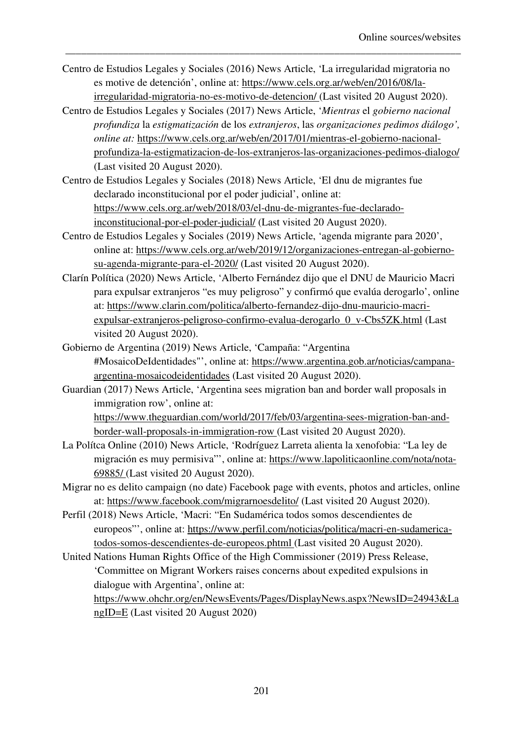Centro de Estudios Legales y Sociales (2016) News Article, 'La irregularidad migratoria no es motive de detención', online at: https://www.cels.org.ar/web/en/2016/08/lairregularidad-migratoria-no-es-motivo-de-detencion/ (Last visited 20 August 2020).

\_\_\_\_\_\_\_\_\_\_\_\_\_\_\_\_\_\_\_\_\_\_\_\_\_\_\_\_\_\_\_\_\_\_\_\_\_\_\_\_\_\_\_\_\_\_\_\_\_\_\_\_\_\_\_\_\_\_\_\_\_\_\_\_\_\_\_\_\_\_\_\_\_\_\_

- Centro de Estudios Legales y Sociales (2017) News Article, '*Mientras* el *gobierno nacional profundiza* la *estigmatización* de los *extranjeros*, las *organizaciones pedimos diálogo', online at: https://www.cels.org.ar/web/en/2017/01/mientras-el-gobierno-nacional*profundiza-la-estigmatizacion-de-los-extranjeros-las-organizaciones-pedimos-dialogo/ (Last visited 20 August 2020).
- Centro de Estudios Legales y Sociales (2018) News Article, 'El dnu de migrantes fue declarado inconstitucional por el poder judicial', online at: https://www.cels.org.ar/web/2018/03/el-dnu-de-migrantes-fue-declaradoinconstitucional-por-el-poder-judicial/ (Last visited 20 August 2020).
- Centro de Estudios Legales y Sociales (2019) News Article, 'agenda migrante para 2020', online at: https://www.cels.org.ar/web/2019/12/organizaciones-entregan-al-gobiernosu-agenda-migrante-para-el-2020/ (Last visited 20 August 2020).
- Clarín Política (2020) News Article, 'Alberto Fernández dijo que el DNU de Mauricio Macri para expulsar extranjeros "es muy peligroso" y confirmó que evalúa derogarlo', online at: https://www.clarin.com/politica/alberto-fernandez-dijo-dnu-mauricio-macriexpulsar-extranjeros-peligroso-confirmo-evalua-derogarlo\_0\_v-Cbs5ZK.html (Last visited 20 August 2020).
- Gobierno de Argentina (2019) News Article, 'Campaña: "Argentina #MosaicoDeIdentidades"', online at: https://www.argentina.gob.ar/noticias/campanaargentina-mosaicodeidentidades (Last visited 20 August 2020).
- Guardian (2017) News Article, 'Argentina sees migration ban and border wall proposals in immigration row', online at: https://www.theguardian.com/world/2017/feb/03/argentina-sees-migration-ban-andborder-wall-proposals-in-immigration-row (Last visited 20 August 2020).
- La Polítca Online (2010) News Article, 'Rodríguez Larreta alienta la xenofobia: "La ley de migración es muy permisiva"', online at: https://www.lapoliticaonline.com/nota/nota-69885/ (Last visited 20 August 2020).
- Migrar no es delito campaign (no date) Facebook page with events, photos and articles, online at: https://www.facebook.com/migrarnoesdelito/ (Last visited 20 August 2020).
- Perfil (2018) News Article, 'Macri: "En Sudamérica todos somos descendientes de europeos"', online at: https://www.perfil.com/noticias/politica/macri-en-sudamericatodos-somos-descendientes-de-europeos.phtml (Last visited 20 August 2020).
- United Nations Human Rights Office of the High Commissioner (2019) Press Release, 'Committee on Migrant Workers raises concerns about expedited expulsions in dialogue with Argentina', online at:

https://www.ohchr.org/en/NewsEvents/Pages/DisplayNews.aspx?NewsID=24943&La ngID=E (Last visited 20 August 2020)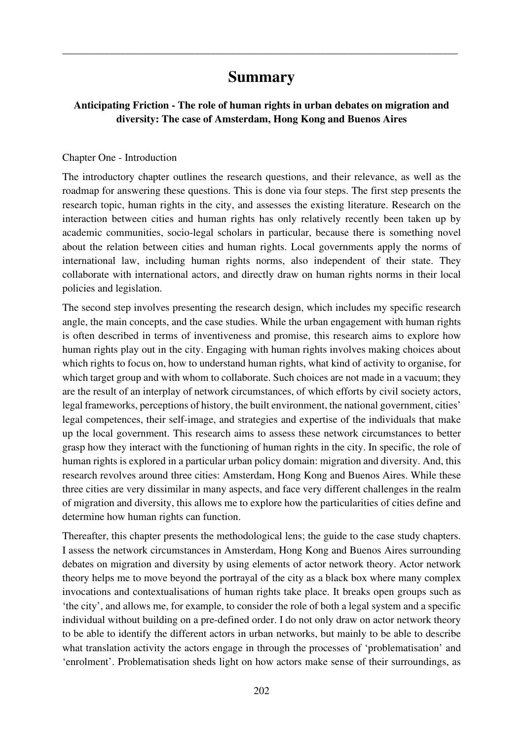# **Summary**

\_\_\_\_\_\_\_\_\_\_\_\_\_\_\_\_\_\_\_\_\_\_\_\_\_\_\_\_\_\_\_\_\_\_\_\_\_\_\_\_\_\_\_\_\_\_\_\_\_\_\_\_\_\_\_\_\_\_\_\_\_\_\_\_\_\_\_\_\_\_\_\_\_\_\_

# **Anticipating Friction - The role of human rights in urban debates on migration and diversity: The case of Amsterdam, Hong Kong and Buenos Aires**

#### Chapter One - Introduction

The introductory chapter outlines the research questions, and their relevance, as well as the roadmap for answering these questions. This is done via four steps. The first step presents the research topic, human rights in the city, and assesses the existing literature. Research on the interaction between cities and human rights has only relatively recently been taken up by academic communities, socio-legal scholars in particular, because there is something novel about the relation between cities and human rights. Local governments apply the norms of international law, including human rights norms, also independent of their state. They collaborate with international actors, and directly draw on human rights norms in their local policies and legislation.

The second step involves presenting the research design, which includes my specific research angle, the main concepts, and the case studies. While the urban engagement with human rights is often described in terms of inventiveness and promise, this research aims to explore how human rights play out in the city. Engaging with human rights involves making choices about which rights to focus on, how to understand human rights, what kind of activity to organise, for which target group and with whom to collaborate. Such choices are not made in a vacuum; they are the result of an interplay of network circumstances, of which efforts by civil society actors, legal frameworks, perceptions of history, the built environment, the national government, cities' legal competences, their self-image, and strategies and expertise of the individuals that make up the local government. This research aims to assess these network circumstances to better grasp how they interact with the functioning of human rights in the city. In specific, the role of human rights is explored in a particular urban policy domain: migration and diversity. And, this research revolves around three cities: Amsterdam, Hong Kong and Buenos Aires. While these three cities are very dissimilar in many aspects, and face very different challenges in the realm of migration and diversity, this allows me to explore how the particularities of cities define and determine how human rights can function.

Thereafter, this chapter presents the methodological lens; the guide to the case study chapters. I assess the network circumstances in Amsterdam, Hong Kong and Buenos Aires surrounding debates on migration and diversity by using elements of actor network theory. Actor network theory helps me to move beyond the portrayal of the city as a black box where many complex invocations and contextualisations of human rights take place. It breaks open groups such as 'the city', and allows me, for example, to consider the role of both a legal system and a specific individual without building on a pre-defined order. I do not only draw on actor network theory to be able to identify the different actors in urban networks, but mainly to be able to describe what translation activity the actors engage in through the processes of 'problematisation' and 'enrolment'. Problematisation sheds light on how actors make sense of their surroundings, as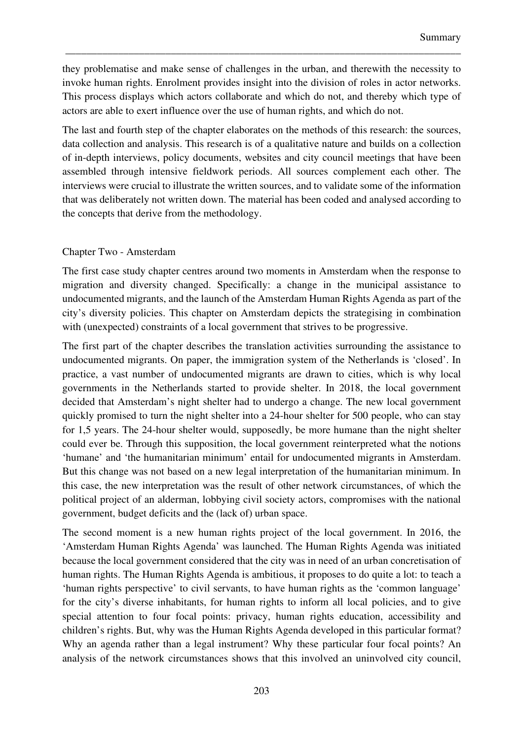they problematise and make sense of challenges in the urban, and therewith the necessity to invoke human rights. Enrolment provides insight into the division of roles in actor networks. This process displays which actors collaborate and which do not, and thereby which type of actors are able to exert influence over the use of human rights, and which do not.

\_\_\_\_\_\_\_\_\_\_\_\_\_\_\_\_\_\_\_\_\_\_\_\_\_\_\_\_\_\_\_\_\_\_\_\_\_\_\_\_\_\_\_\_\_\_\_\_\_\_\_\_\_\_\_\_\_\_\_\_\_\_\_\_\_\_\_\_\_\_\_\_\_\_\_

The last and fourth step of the chapter elaborates on the methods of this research: the sources, data collection and analysis. This research is of a qualitative nature and builds on a collection of in-depth interviews, policy documents, websites and city council meetings that have been assembled through intensive fieldwork periods. All sources complement each other. The interviews were crucial to illustrate the written sources, and to validate some of the information that was deliberately not written down. The material has been coded and analysed according to the concepts that derive from the methodology.

#### Chapter Two - Amsterdam

The first case study chapter centres around two moments in Amsterdam when the response to migration and diversity changed. Specifically: a change in the municipal assistance to undocumented migrants, and the launch of the Amsterdam Human Rights Agenda as part of the city's diversity policies. This chapter on Amsterdam depicts the strategising in combination with (unexpected) constraints of a local government that strives to be progressive.

The first part of the chapter describes the translation activities surrounding the assistance to undocumented migrants. On paper, the immigration system of the Netherlands is 'closed'. In practice, a vast number of undocumented migrants are drawn to cities, which is why local governments in the Netherlands started to provide shelter. In 2018, the local government decided that Amsterdam's night shelter had to undergo a change. The new local government quickly promised to turn the night shelter into a 24-hour shelter for 500 people, who can stay for 1,5 years. The 24-hour shelter would, supposedly, be more humane than the night shelter could ever be. Through this supposition, the local government reinterpreted what the notions 'humane' and 'the humanitarian minimum' entail for undocumented migrants in Amsterdam. But this change was not based on a new legal interpretation of the humanitarian minimum. In this case, the new interpretation was the result of other network circumstances, of which the political project of an alderman, lobbying civil society actors, compromises with the national government, budget deficits and the (lack of) urban space.

The second moment is a new human rights project of the local government. In 2016, the 'Amsterdam Human Rights Agenda' was launched. The Human Rights Agenda was initiated because the local government considered that the city was in need of an urban concretisation of human rights. The Human Rights Agenda is ambitious, it proposes to do quite a lot: to teach a 'human rights perspective' to civil servants, to have human rights as the 'common language' for the city's diverse inhabitants, for human rights to inform all local policies, and to give special attention to four focal points: privacy, human rights education, accessibility and children's rights. But, why was the Human Rights Agenda developed in this particular format? Why an agenda rather than a legal instrument? Why these particular four focal points? An analysis of the network circumstances shows that this involved an uninvolved city council,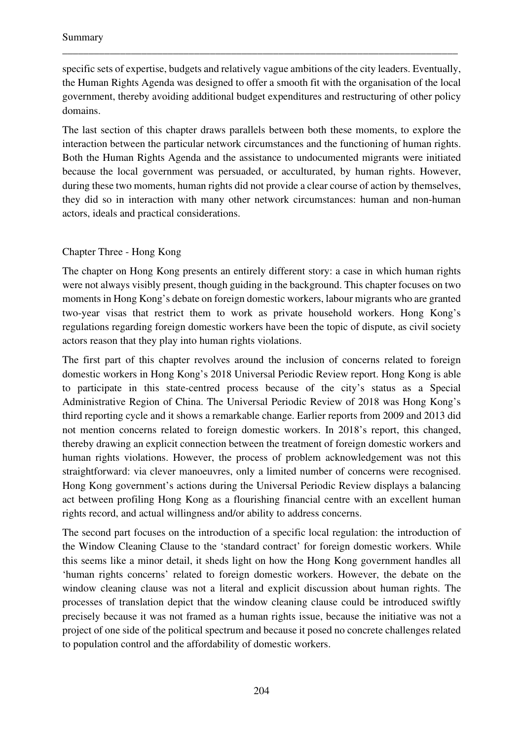specific sets of expertise, budgets and relatively vague ambitions of the city leaders. Eventually, the Human Rights Agenda was designed to offer a smooth fit with the organisation of the local government, thereby avoiding additional budget expenditures and restructuring of other policy domains.

\_\_\_\_\_\_\_\_\_\_\_\_\_\_\_\_\_\_\_\_\_\_\_\_\_\_\_\_\_\_\_\_\_\_\_\_\_\_\_\_\_\_\_\_\_\_\_\_\_\_\_\_\_\_\_\_\_\_\_\_\_\_\_\_\_\_\_\_\_\_\_\_\_\_\_

The last section of this chapter draws parallels between both these moments, to explore the interaction between the particular network circumstances and the functioning of human rights. Both the Human Rights Agenda and the assistance to undocumented migrants were initiated because the local government was persuaded, or acculturated, by human rights. However, during these two moments, human rights did not provide a clear course of action by themselves, they did so in interaction with many other network circumstances: human and non-human actors, ideals and practical considerations.

# Chapter Three - Hong Kong

The chapter on Hong Kong presents an entirely different story: a case in which human rights were not always visibly present, though guiding in the background. This chapter focuses on two moments in Hong Kong's debate on foreign domestic workers, labour migrants who are granted two-year visas that restrict them to work as private household workers. Hong Kong's regulations regarding foreign domestic workers have been the topic of dispute, as civil society actors reason that they play into human rights violations.

The first part of this chapter revolves around the inclusion of concerns related to foreign domestic workers in Hong Kong's 2018 Universal Periodic Review report. Hong Kong is able to participate in this state-centred process because of the city's status as a Special Administrative Region of China. The Universal Periodic Review of 2018 was Hong Kong's third reporting cycle and it shows a remarkable change. Earlier reports from 2009 and 2013 did not mention concerns related to foreign domestic workers. In 2018's report, this changed, thereby drawing an explicit connection between the treatment of foreign domestic workers and human rights violations. However, the process of problem acknowledgement was not this straightforward: via clever manoeuvres, only a limited number of concerns were recognised. Hong Kong government's actions during the Universal Periodic Review displays a balancing act between profiling Hong Kong as a flourishing financial centre with an excellent human rights record, and actual willingness and/or ability to address concerns.

The second part focuses on the introduction of a specific local regulation: the introduction of the Window Cleaning Clause to the 'standard contract' for foreign domestic workers. While this seems like a minor detail, it sheds light on how the Hong Kong government handles all 'human rights concerns' related to foreign domestic workers. However, the debate on the window cleaning clause was not a literal and explicit discussion about human rights. The processes of translation depict that the window cleaning clause could be introduced swiftly precisely because it was not framed as a human rights issue, because the initiative was not a project of one side of the political spectrum and because it posed no concrete challenges related to population control and the affordability of domestic workers.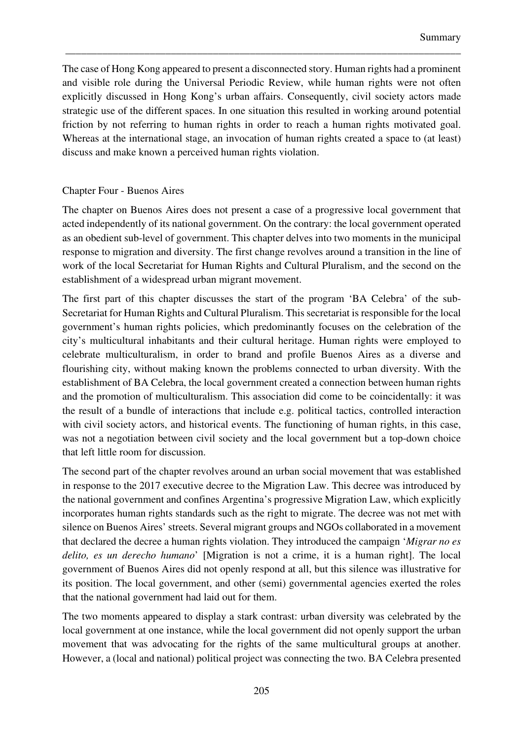The case of Hong Kong appeared to present a disconnected story. Human rights had a prominent and visible role during the Universal Periodic Review, while human rights were not often explicitly discussed in Hong Kong's urban affairs. Consequently, civil society actors made strategic use of the different spaces. In one situation this resulted in working around potential friction by not referring to human rights in order to reach a human rights motivated goal. Whereas at the international stage, an invocation of human rights created a space to (at least) discuss and make known a perceived human rights violation.

\_\_\_\_\_\_\_\_\_\_\_\_\_\_\_\_\_\_\_\_\_\_\_\_\_\_\_\_\_\_\_\_\_\_\_\_\_\_\_\_\_\_\_\_\_\_\_\_\_\_\_\_\_\_\_\_\_\_\_\_\_\_\_\_\_\_\_\_\_\_\_\_\_\_\_

### Chapter Four - Buenos Aires

The chapter on Buenos Aires does not present a case of a progressive local government that acted independently of its national government. On the contrary: the local government operated as an obedient sub-level of government. This chapter delves into two moments in the municipal response to migration and diversity. The first change revolves around a transition in the line of work of the local Secretariat for Human Rights and Cultural Pluralism, and the second on the establishment of a widespread urban migrant movement.

The first part of this chapter discusses the start of the program 'BA Celebra' of the sub-Secretariat for Human Rights and Cultural Pluralism. This secretariat is responsible for the local government's human rights policies, which predominantly focuses on the celebration of the city's multicultural inhabitants and their cultural heritage. Human rights were employed to celebrate multiculturalism, in order to brand and profile Buenos Aires as a diverse and flourishing city, without making known the problems connected to urban diversity. With the establishment of BA Celebra, the local government created a connection between human rights and the promotion of multiculturalism. This association did come to be coincidentally: it was the result of a bundle of interactions that include e.g. political tactics, controlled interaction with civil society actors, and historical events. The functioning of human rights, in this case, was not a negotiation between civil society and the local government but a top-down choice that left little room for discussion.

The second part of the chapter revolves around an urban social movement that was established in response to the 2017 executive decree to the Migration Law. This decree was introduced by the national government and confines Argentina's progressive Migration Law, which explicitly incorporates human rights standards such as the right to migrate. The decree was not met with silence on Buenos Aires' streets. Several migrant groups and NGOs collaborated in a movement that declared the decree a human rights violation. They introduced the campaign '*Migrar no es delito, es un derecho humano*' [Migration is not a crime, it is a human right]. The local government of Buenos Aires did not openly respond at all, but this silence was illustrative for its position. The local government, and other (semi) governmental agencies exerted the roles that the national government had laid out for them.

The two moments appeared to display a stark contrast: urban diversity was celebrated by the local government at one instance, while the local government did not openly support the urban movement that was advocating for the rights of the same multicultural groups at another. However, a (local and national) political project was connecting the two. BA Celebra presented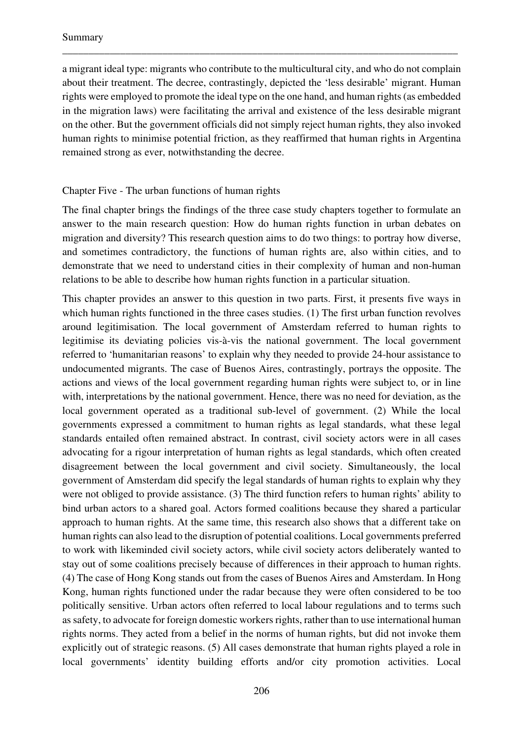a migrant ideal type: migrants who contribute to the multicultural city, and who do not complain about their treatment. The decree, contrastingly, depicted the 'less desirable' migrant. Human rights were employed to promote the ideal type on the one hand, and human rights (as embedded in the migration laws) were facilitating the arrival and existence of the less desirable migrant on the other. But the government officials did not simply reject human rights, they also invoked human rights to minimise potential friction, as they reaffirmed that human rights in Argentina remained strong as ever, notwithstanding the decree.

\_\_\_\_\_\_\_\_\_\_\_\_\_\_\_\_\_\_\_\_\_\_\_\_\_\_\_\_\_\_\_\_\_\_\_\_\_\_\_\_\_\_\_\_\_\_\_\_\_\_\_\_\_\_\_\_\_\_\_\_\_\_\_\_\_\_\_\_\_\_\_\_\_\_\_

### Chapter Five - The urban functions of human rights

The final chapter brings the findings of the three case study chapters together to formulate an answer to the main research question: How do human rights function in urban debates on migration and diversity? This research question aims to do two things: to portray how diverse, and sometimes contradictory, the functions of human rights are, also within cities, and to demonstrate that we need to understand cities in their complexity of human and non-human relations to be able to describe how human rights function in a particular situation.

This chapter provides an answer to this question in two parts. First, it presents five ways in which human rights functioned in the three cases studies. (1) The first urban function revolves around legitimisation. The local government of Amsterdam referred to human rights to legitimise its deviating policies vis-à-vis the national government. The local government referred to 'humanitarian reasons' to explain why they needed to provide 24-hour assistance to undocumented migrants. The case of Buenos Aires, contrastingly, portrays the opposite. The actions and views of the local government regarding human rights were subject to, or in line with, interpretations by the national government. Hence, there was no need for deviation, as the local government operated as a traditional sub-level of government. (2) While the local governments expressed a commitment to human rights as legal standards, what these legal standards entailed often remained abstract. In contrast, civil society actors were in all cases advocating for a rigour interpretation of human rights as legal standards, which often created disagreement between the local government and civil society. Simultaneously, the local government of Amsterdam did specify the legal standards of human rights to explain why they were not obliged to provide assistance. (3) The third function refers to human rights' ability to bind urban actors to a shared goal. Actors formed coalitions because they shared a particular approach to human rights. At the same time, this research also shows that a different take on human rights can also lead to the disruption of potential coalitions. Local governments preferred to work with likeminded civil society actors, while civil society actors deliberately wanted to stay out of some coalitions precisely because of differences in their approach to human rights. (4) The case of Hong Kong stands out from the cases of Buenos Aires and Amsterdam. In Hong Kong, human rights functioned under the radar because they were often considered to be too politically sensitive. Urban actors often referred to local labour regulations and to terms such as safety, to advocate for foreign domestic workers rights, rather than to use international human rights norms. They acted from a belief in the norms of human rights, but did not invoke them explicitly out of strategic reasons. (5) All cases demonstrate that human rights played a role in local governments' identity building efforts and/or city promotion activities. Local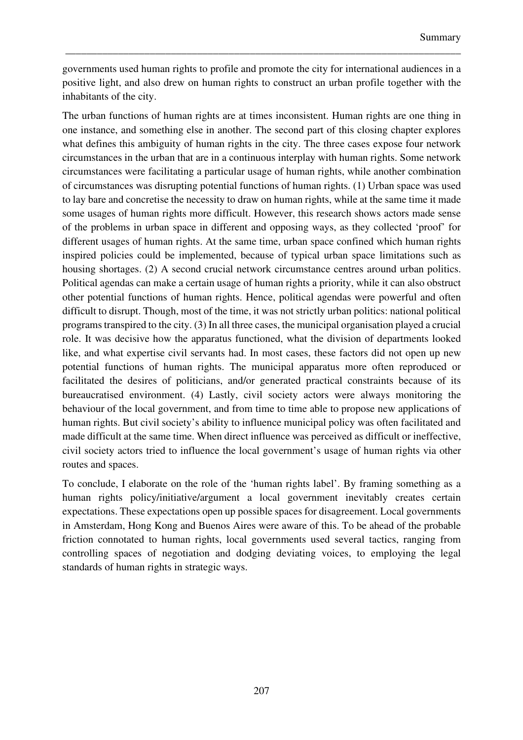governments used human rights to profile and promote the city for international audiences in a positive light, and also drew on human rights to construct an urban profile together with the inhabitants of the city.

\_\_\_\_\_\_\_\_\_\_\_\_\_\_\_\_\_\_\_\_\_\_\_\_\_\_\_\_\_\_\_\_\_\_\_\_\_\_\_\_\_\_\_\_\_\_\_\_\_\_\_\_\_\_\_\_\_\_\_\_\_\_\_\_\_\_\_\_\_\_\_\_\_\_\_

The urban functions of human rights are at times inconsistent. Human rights are one thing in one instance, and something else in another. The second part of this closing chapter explores what defines this ambiguity of human rights in the city. The three cases expose four network circumstances in the urban that are in a continuous interplay with human rights. Some network circumstances were facilitating a particular usage of human rights, while another combination of circumstances was disrupting potential functions of human rights. (1) Urban space was used to lay bare and concretise the necessity to draw on human rights, while at the same time it made some usages of human rights more difficult. However, this research shows actors made sense of the problems in urban space in different and opposing ways, as they collected 'proof' for different usages of human rights. At the same time, urban space confined which human rights inspired policies could be implemented, because of typical urban space limitations such as housing shortages. (2) A second crucial network circumstance centres around urban politics. Political agendas can make a certain usage of human rights a priority, while it can also obstruct other potential functions of human rights. Hence, political agendas were powerful and often difficult to disrupt. Though, most of the time, it was not strictly urban politics: national political programs transpired to the city. (3) In all three cases, the municipal organisation played a crucial role. It was decisive how the apparatus functioned, what the division of departments looked like, and what expertise civil servants had. In most cases, these factors did not open up new potential functions of human rights. The municipal apparatus more often reproduced or facilitated the desires of politicians, and/or generated practical constraints because of its bureaucratised environment. (4) Lastly, civil society actors were always monitoring the behaviour of the local government, and from time to time able to propose new applications of human rights. But civil society's ability to influence municipal policy was often facilitated and made difficult at the same time. When direct influence was perceived as difficult or ineffective, civil society actors tried to influence the local government's usage of human rights via other routes and spaces.

To conclude, I elaborate on the role of the 'human rights label'. By framing something as a human rights policy/initiative/argument a local government inevitably creates certain expectations. These expectations open up possible spaces for disagreement. Local governments in Amsterdam, Hong Kong and Buenos Aires were aware of this. To be ahead of the probable friction connotated to human rights, local governments used several tactics, ranging from controlling spaces of negotiation and dodging deviating voices, to employing the legal standards of human rights in strategic ways.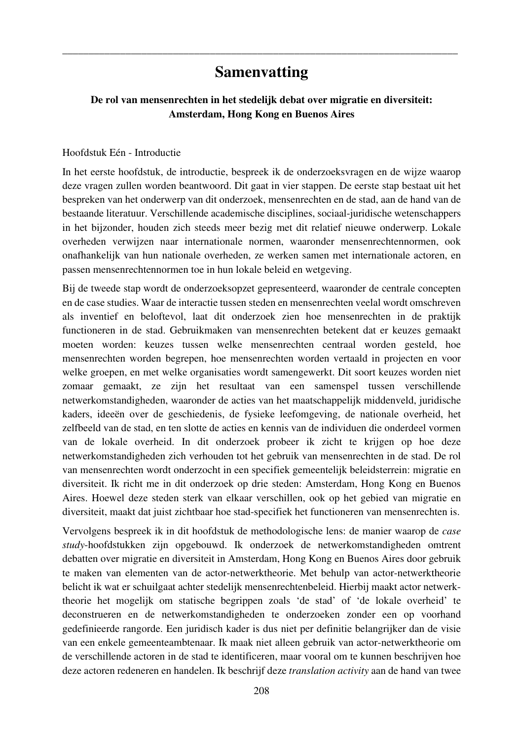# **Samenvatting**

\_\_\_\_\_\_\_\_\_\_\_\_\_\_\_\_\_\_\_\_\_\_\_\_\_\_\_\_\_\_\_\_\_\_\_\_\_\_\_\_\_\_\_\_\_\_\_\_\_\_\_\_\_\_\_\_\_\_\_\_\_\_\_\_\_\_\_\_\_\_\_\_\_\_\_

# **De rol van mensenrechten in het stedelijk debat over migratie en diversiteit: Amsterdam, Hong Kong en Buenos Aires**

#### Hoofdstuk Eén - Introductie

In het eerste hoofdstuk, de introductie, bespreek ik de onderzoeksvragen en de wijze waarop deze vragen zullen worden beantwoord. Dit gaat in vier stappen. De eerste stap bestaat uit het bespreken van het onderwerp van dit onderzoek, mensenrechten en de stad, aan de hand van de bestaande literatuur. Verschillende academische disciplines, sociaal-juridische wetenschappers in het bijzonder, houden zich steeds meer bezig met dit relatief nieuwe onderwerp. Lokale overheden verwijzen naar internationale normen, waaronder mensenrechtennormen, ook onafhankelijk van hun nationale overheden, ze werken samen met internationale actoren, en passen mensenrechtennormen toe in hun lokale beleid en wetgeving.

Bij de tweede stap wordt de onderzoeksopzet gepresenteerd, waaronder de centrale concepten en de case studies. Waar de interactie tussen steden en mensenrechten veelal wordt omschreven als inventief en beloftevol, laat dit onderzoek zien hoe mensenrechten in de praktijk functioneren in de stad. Gebruikmaken van mensenrechten betekent dat er keuzes gemaakt moeten worden: keuzes tussen welke mensenrechten centraal worden gesteld, hoe mensenrechten worden begrepen, hoe mensenrechten worden vertaald in projecten en voor welke groepen, en met welke organisaties wordt samengewerkt. Dit soort keuzes worden niet zomaar gemaakt, ze zijn het resultaat van een samenspel tussen verschillende netwerkomstandigheden, waaronder de acties van het maatschappelijk middenveld, juridische kaders, ideeën over de geschiedenis, de fysieke leefomgeving, de nationale overheid, het zelfbeeld van de stad, en ten slotte de acties en kennis van de individuen die onderdeel vormen van de lokale overheid. In dit onderzoek probeer ik zicht te krijgen op hoe deze netwerkomstandigheden zich verhouden tot het gebruik van mensenrechten in de stad. De rol van mensenrechten wordt onderzocht in een specifiek gemeentelijk beleidsterrein: migratie en diversiteit. Ik richt me in dit onderzoek op drie steden: Amsterdam, Hong Kong en Buenos Aires. Hoewel deze steden sterk van elkaar verschillen, ook op het gebied van migratie en diversiteit, maakt dat juist zichtbaar hoe stad-specifiek het functioneren van mensenrechten is.

Vervolgens bespreek ik in dit hoofdstuk de methodologische lens: de manier waarop de *case study*-hoofdstukken zijn opgebouwd. Ik onderzoek de netwerkomstandigheden omtrent debatten over migratie en diversiteit in Amsterdam, Hong Kong en Buenos Aires door gebruik te maken van elementen van de actor-netwerktheorie. Met behulp van actor-netwerktheorie belicht ik wat er schuilgaat achter stedelijk mensenrechtenbeleid. Hierbij maakt actor netwerktheorie het mogelijk om statische begrippen zoals 'de stad' of 'de lokale overheid' te deconstrueren en de netwerkomstandigheden te onderzoeken zonder een op voorhand gedefinieerde rangorde. Een juridisch kader is dus niet per definitie belangrijker dan de visie van een enkele gemeenteambtenaar. Ik maak niet alleen gebruik van actor-netwerktheorie om de verschillende actoren in de stad te identificeren, maar vooral om te kunnen beschrijven hoe deze actoren redeneren en handelen. Ik beschrijf deze *translation activity* aan de hand van twee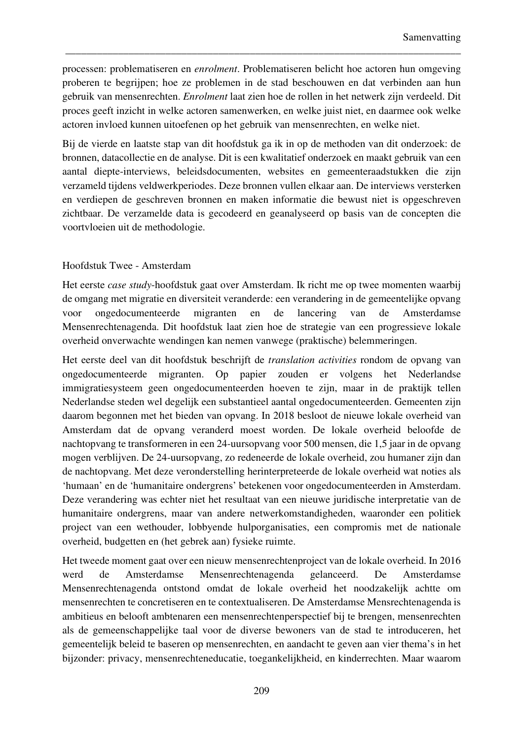processen: problematiseren en *enrolment*. Problematiseren belicht hoe actoren hun omgeving proberen te begrijpen; hoe ze problemen in de stad beschouwen en dat verbinden aan hun gebruik van mensenrechten. *Enrolment* laat zien hoe de rollen in het netwerk zijn verdeeld. Dit proces geeft inzicht in welke actoren samenwerken, en welke juist niet, en daarmee ook welke actoren invloed kunnen uitoefenen op het gebruik van mensenrechten, en welke niet.

\_\_\_\_\_\_\_\_\_\_\_\_\_\_\_\_\_\_\_\_\_\_\_\_\_\_\_\_\_\_\_\_\_\_\_\_\_\_\_\_\_\_\_\_\_\_\_\_\_\_\_\_\_\_\_\_\_\_\_\_\_\_\_\_\_\_\_\_\_\_\_\_\_\_\_

Bij de vierde en laatste stap van dit hoofdstuk ga ik in op de methoden van dit onderzoek: de bronnen, datacollectie en de analyse. Dit is een kwalitatief onderzoek en maakt gebruik van een aantal diepte-interviews, beleidsdocumenten, websites en gemeenteraadstukken die zijn verzameld tijdens veldwerkperiodes. Deze bronnen vullen elkaar aan. De interviews versterken en verdiepen de geschreven bronnen en maken informatie die bewust niet is opgeschreven zichtbaar. De verzamelde data is gecodeerd en geanalyseerd op basis van de concepten die voortvloeien uit de methodologie.

# Hoofdstuk Twee - Amsterdam

Het eerste *case study*-hoofdstuk gaat over Amsterdam. Ik richt me op twee momenten waarbij de omgang met migratie en diversiteit veranderde: een verandering in de gemeentelijke opvang voor ongedocumenteerde migranten en de lancering van de Amsterdamse Mensenrechtenagenda. Dit hoofdstuk laat zien hoe de strategie van een progressieve lokale overheid onverwachte wendingen kan nemen vanwege (praktische) belemmeringen.

Het eerste deel van dit hoofdstuk beschrijft de *translation activities* rondom de opvang van ongedocumenteerde migranten. Op papier zouden er volgens het Nederlandse immigratiesysteem geen ongedocumenteerden hoeven te zijn, maar in de praktijk tellen Nederlandse steden wel degelijk een substantieel aantal ongedocumenteerden. Gemeenten zijn daarom begonnen met het bieden van opvang. In 2018 besloot de nieuwe lokale overheid van Amsterdam dat de opvang veranderd moest worden. De lokale overheid beloofde de nachtopvang te transformeren in een 24-uursopvang voor 500 mensen, die 1,5 jaar in de opvang mogen verblijven. De 24-uursopvang, zo redeneerde de lokale overheid, zou humaner zijn dan de nachtopvang. Met deze veronderstelling herinterpreteerde de lokale overheid wat noties als 'humaan' en de 'humanitaire ondergrens' betekenen voor ongedocumenteerden in Amsterdam. Deze verandering was echter niet het resultaat van een nieuwe juridische interpretatie van de humanitaire ondergrens, maar van andere netwerkomstandigheden, waaronder een politiek project van een wethouder, lobbyende hulporganisaties, een compromis met de nationale overheid, budgetten en (het gebrek aan) fysieke ruimte.

Het tweede moment gaat over een nieuw mensenrechtenproject van de lokale overheid. In 2016 werd de Amsterdamse Mensenrechtenagenda gelanceerd. De Amsterdamse Mensenrechtenagenda ontstond omdat de lokale overheid het noodzakelijk achtte om mensenrechten te concretiseren en te contextualiseren. De Amsterdamse Mensrechtenagenda is ambitieus en belooft ambtenaren een mensenrechtenperspectief bij te brengen, mensenrechten als de gemeenschappelijke taal voor de diverse bewoners van de stad te introduceren, het gemeentelijk beleid te baseren op mensenrechten, en aandacht te geven aan vier thema's in het bijzonder: privacy, mensenrechteneducatie, toegankelijkheid, en kinderrechten. Maar waarom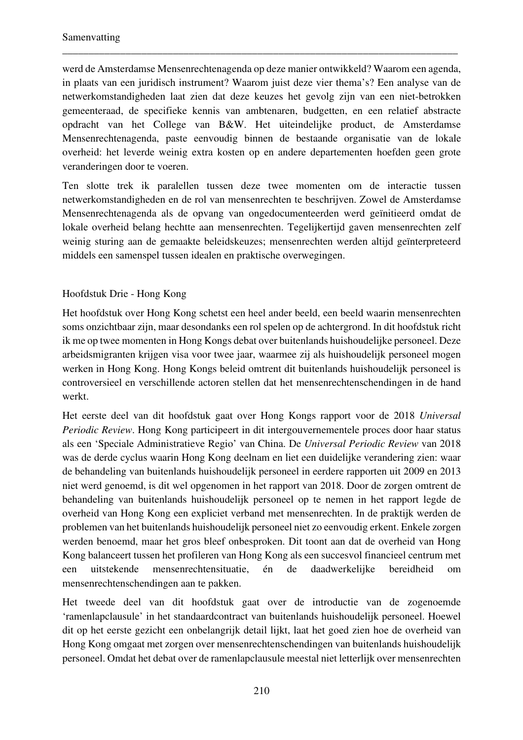werd de Amsterdamse Mensenrechtenagenda op deze manier ontwikkeld? Waarom een agenda, in plaats van een juridisch instrument? Waarom juist deze vier thema's? Een analyse van de netwerkomstandigheden laat zien dat deze keuzes het gevolg zijn van een niet-betrokken gemeenteraad, de specifieke kennis van ambtenaren, budgetten, en een relatief abstracte opdracht van het College van B&W. Het uiteindelijke product, de Amsterdamse Mensenrechtenagenda, paste eenvoudig binnen de bestaande organisatie van de lokale overheid: het leverde weinig extra kosten op en andere departementen hoefden geen grote veranderingen door te voeren.

\_\_\_\_\_\_\_\_\_\_\_\_\_\_\_\_\_\_\_\_\_\_\_\_\_\_\_\_\_\_\_\_\_\_\_\_\_\_\_\_\_\_\_\_\_\_\_\_\_\_\_\_\_\_\_\_\_\_\_\_\_\_\_\_\_\_\_\_\_\_\_\_\_\_\_

Ten slotte trek ik paralellen tussen deze twee momenten om de interactie tussen netwerkomstandigheden en de rol van mensenrechten te beschrijven. Zowel de Amsterdamse Mensenrechtenagenda als de opvang van ongedocumenteerden werd geïnitieerd omdat de lokale overheid belang hechtte aan mensenrechten. Tegelijkertijd gaven mensenrechten zelf weinig sturing aan de gemaakte beleidskeuzes; mensenrechten werden altijd geïnterpreteerd middels een samenspel tussen idealen en praktische overwegingen.

# Hoofdstuk Drie - Hong Kong

Het hoofdstuk over Hong Kong schetst een heel ander beeld, een beeld waarin mensenrechten soms onzichtbaar zijn, maar desondanks een rol spelen op de achtergrond. In dit hoofdstuk richt ik me op twee momenten in Hong Kongs debat over buitenlands huishoudelijke personeel. Deze arbeidsmigranten krijgen visa voor twee jaar, waarmee zij als huishoudelijk personeel mogen werken in Hong Kong. Hong Kongs beleid omtrent dit buitenlands huishoudelijk personeel is controversieel en verschillende actoren stellen dat het mensenrechtenschendingen in de hand werkt.

Het eerste deel van dit hoofdstuk gaat over Hong Kongs rapport voor de 2018 *Universal Periodic Review*. Hong Kong participeert in dit intergouvernementele proces door haar status als een 'Speciale Administratieve Regio' van China. De *Universal Periodic Review* van 2018 was de derde cyclus waarin Hong Kong deelnam en liet een duidelijke verandering zien: waar de behandeling van buitenlands huishoudelijk personeel in eerdere rapporten uit 2009 en 2013 niet werd genoemd, is dit wel opgenomen in het rapport van 2018. Door de zorgen omtrent de behandeling van buitenlands huishoudelijk personeel op te nemen in het rapport legde de overheid van Hong Kong een expliciet verband met mensenrechten. In de praktijk werden de problemen van het buitenlands huishoudelijk personeel niet zo eenvoudig erkent. Enkele zorgen werden benoemd, maar het gros bleef onbesproken. Dit toont aan dat de overheid van Hong Kong balanceert tussen het profileren van Hong Kong als een succesvol financieel centrum met een uitstekende mensenrechtensituatie, én de daadwerkelijke bereidheid om mensenrechtenschendingen aan te pakken.

Het tweede deel van dit hoofdstuk gaat over de introductie van de zogenoemde 'ramenlapclausule' in het standaardcontract van buitenlands huishoudelijk personeel. Hoewel dit op het eerste gezicht een onbelangrijk detail lijkt, laat het goed zien hoe de overheid van Hong Kong omgaat met zorgen over mensenrechtenschendingen van buitenlands huishoudelijk personeel. Omdat het debat over de ramenlapclausule meestal niet letterlijk over mensenrechten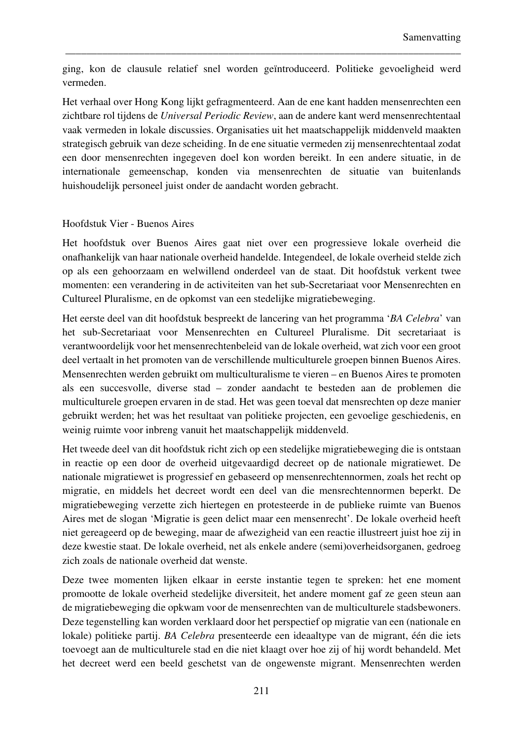ging, kon de clausule relatief snel worden geïntroduceerd. Politieke gevoeligheid werd vermeden.

\_\_\_\_\_\_\_\_\_\_\_\_\_\_\_\_\_\_\_\_\_\_\_\_\_\_\_\_\_\_\_\_\_\_\_\_\_\_\_\_\_\_\_\_\_\_\_\_\_\_\_\_\_\_\_\_\_\_\_\_\_\_\_\_\_\_\_\_\_\_\_\_\_\_\_

Het verhaal over Hong Kong lijkt gefragmenteerd. Aan de ene kant hadden mensenrechten een zichtbare rol tijdens de *Universal Periodic Review*, aan de andere kant werd mensenrechtentaal vaak vermeden in lokale discussies. Organisaties uit het maatschappelijk middenveld maakten strategisch gebruik van deze scheiding. In de ene situatie vermeden zij mensenrechtentaal zodat een door mensenrechten ingegeven doel kon worden bereikt. In een andere situatie, in de internationale gemeenschap, konden via mensenrechten de situatie van buitenlands huishoudelijk personeel juist onder de aandacht worden gebracht.

### Hoofdstuk Vier - Buenos Aires

Het hoofdstuk over Buenos Aires gaat niet over een progressieve lokale overheid die onafhankelijk van haar nationale overheid handelde. Integendeel, de lokale overheid stelde zich op als een gehoorzaam en welwillend onderdeel van de staat. Dit hoofdstuk verkent twee momenten: een verandering in de activiteiten van het sub-Secretariaat voor Mensenrechten en Cultureel Pluralisme, en de opkomst van een stedelijke migratiebeweging.

Het eerste deel van dit hoofdstuk bespreekt de lancering van het programma '*BA Celebra*' van het sub-Secretariaat voor Mensenrechten en Cultureel Pluralisme. Dit secretariaat is verantwoordelijk voor het mensenrechtenbeleid van de lokale overheid, wat zich voor een groot deel vertaalt in het promoten van de verschillende multiculturele groepen binnen Buenos Aires. Mensenrechten werden gebruikt om multiculturalisme te vieren – en Buenos Aires te promoten als een succesvolle, diverse stad – zonder aandacht te besteden aan de problemen die multiculturele groepen ervaren in de stad. Het was geen toeval dat mensrechten op deze manier gebruikt werden; het was het resultaat van politieke projecten, een gevoelige geschiedenis, en weinig ruimte voor inbreng vanuit het maatschappelijk middenveld.

Het tweede deel van dit hoofdstuk richt zich op een stedelijke migratiebeweging die is ontstaan in reactie op een door de overheid uitgevaardigd decreet op de nationale migratiewet. De nationale migratiewet is progressief en gebaseerd op mensenrechtennormen, zoals het recht op migratie, en middels het decreet wordt een deel van die mensrechtennormen beperkt. De migratiebeweging verzette zich hiertegen en protesteerde in de publieke ruimte van Buenos Aires met de slogan 'Migratie is geen delict maar een mensenrecht'. De lokale overheid heeft niet gereageerd op de beweging, maar de afwezigheid van een reactie illustreert juist hoe zij in deze kwestie staat. De lokale overheid, net als enkele andere (semi)overheidsorganen, gedroeg zich zoals de nationale overheid dat wenste.

Deze twee momenten lijken elkaar in eerste instantie tegen te spreken: het ene moment promootte de lokale overheid stedelijke diversiteit, het andere moment gaf ze geen steun aan de migratiebeweging die opkwam voor de mensenrechten van de multiculturele stadsbewoners. Deze tegenstelling kan worden verklaard door het perspectief op migratie van een (nationale en lokale) politieke partij. *BA Celebra* presenteerde een ideaaltype van de migrant, één die iets toevoegt aan de multiculturele stad en die niet klaagt over hoe zij of hij wordt behandeld. Met het decreet werd een beeld geschetst van de ongewenste migrant. Mensenrechten werden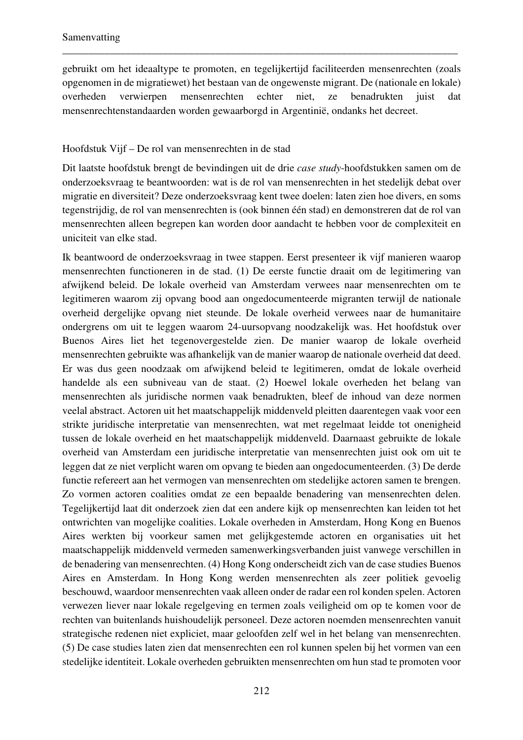gebruikt om het ideaaltype te promoten, en tegelijkertijd faciliteerden mensenrechten (zoals opgenomen in de migratiewet) het bestaan van de ongewenste migrant. De (nationale en lokale) overheden verwierpen mensenrechten echter niet, ze benadrukten juist dat mensenrechtenstandaarden worden gewaarborgd in Argentinië, ondanks het decreet.

\_\_\_\_\_\_\_\_\_\_\_\_\_\_\_\_\_\_\_\_\_\_\_\_\_\_\_\_\_\_\_\_\_\_\_\_\_\_\_\_\_\_\_\_\_\_\_\_\_\_\_\_\_\_\_\_\_\_\_\_\_\_\_\_\_\_\_\_\_\_\_\_\_\_\_

### Hoofdstuk Vijf – De rol van mensenrechten in de stad

Dit laatste hoofdstuk brengt de bevindingen uit de drie *case study*-hoofdstukken samen om de onderzoeksvraag te beantwoorden: wat is de rol van mensenrechten in het stedelijk debat over migratie en diversiteit? Deze onderzoeksvraag kent twee doelen: laten zien hoe divers, en soms tegenstrijdig, de rol van mensenrechten is (ook binnen één stad) en demonstreren dat de rol van mensenrechten alleen begrepen kan worden door aandacht te hebben voor de complexiteit en uniciteit van elke stad.

Ik beantwoord de onderzoeksvraag in twee stappen. Eerst presenteer ik vijf manieren waarop mensenrechten functioneren in de stad. (1) De eerste functie draait om de legitimering van afwijkend beleid. De lokale overheid van Amsterdam verwees naar mensenrechten om te legitimeren waarom zij opvang bood aan ongedocumenteerde migranten terwijl de nationale overheid dergelijke opvang niet steunde. De lokale overheid verwees naar de humanitaire ondergrens om uit te leggen waarom 24-uursopvang noodzakelijk was. Het hoofdstuk over Buenos Aires liet het tegenovergestelde zien. De manier waarop de lokale overheid mensenrechten gebruikte was afhankelijk van de manier waarop de nationale overheid dat deed. Er was dus geen noodzaak om afwijkend beleid te legitimeren, omdat de lokale overheid handelde als een subniveau van de staat. (2) Hoewel lokale overheden het belang van mensenrechten als juridische normen vaak benadrukten, bleef de inhoud van deze normen veelal abstract. Actoren uit het maatschappelijk middenveld pleitten daarentegen vaak voor een strikte juridische interpretatie van mensenrechten, wat met regelmaat leidde tot onenigheid tussen de lokale overheid en het maatschappelijk middenveld. Daarnaast gebruikte de lokale overheid van Amsterdam een juridische interpretatie van mensenrechten juist ook om uit te leggen dat ze niet verplicht waren om opvang te bieden aan ongedocumenteerden. (3) De derde functie refereert aan het vermogen van mensenrechten om stedelijke actoren samen te brengen. Zo vormen actoren coalities omdat ze een bepaalde benadering van mensenrechten delen. Tegelijkertijd laat dit onderzoek zien dat een andere kijk op mensenrechten kan leiden tot het ontwrichten van mogelijke coalities. Lokale overheden in Amsterdam, Hong Kong en Buenos Aires werkten bij voorkeur samen met gelijkgestemde actoren en organisaties uit het maatschappelijk middenveld vermeden samenwerkingsverbanden juist vanwege verschillen in de benadering van mensenrechten. (4) Hong Kong onderscheidt zich van de case studies Buenos Aires en Amsterdam. In Hong Kong werden mensenrechten als zeer politiek gevoelig beschouwd, waardoor mensenrechten vaak alleen onder de radar een rol konden spelen. Actoren verwezen liever naar lokale regelgeving en termen zoals veiligheid om op te komen voor de rechten van buitenlands huishoudelijk personeel. Deze actoren noemden mensenrechten vanuit strategische redenen niet expliciet, maar geloofden zelf wel in het belang van mensenrechten. (5) De case studies laten zien dat mensenrechten een rol kunnen spelen bij het vormen van een stedelijke identiteit. Lokale overheden gebruikten mensenrechten om hun stad te promoten voor